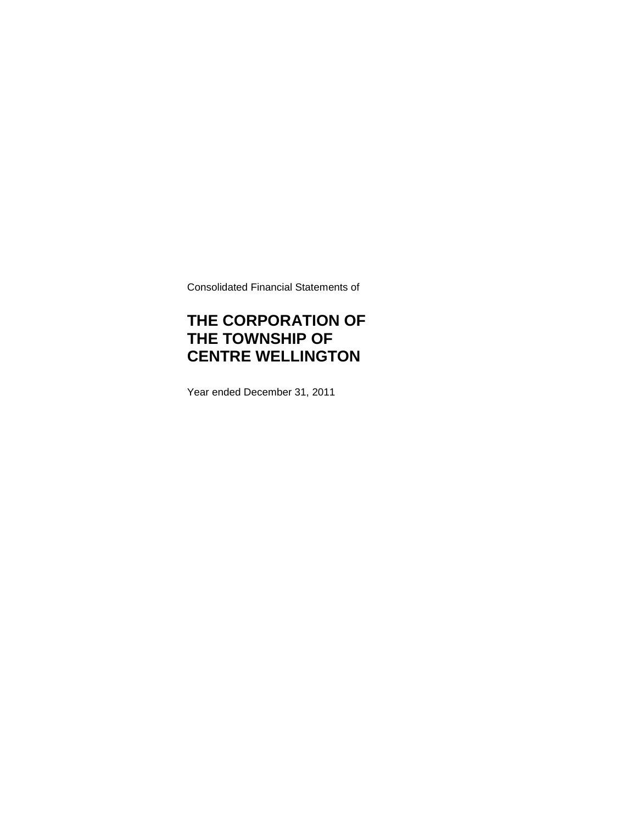Consolidated Financial Statements of

# **THE CORPORATION OF THE TOWNSHIP OF CENTRE WELLINGTON**

Year ended December 31, 2011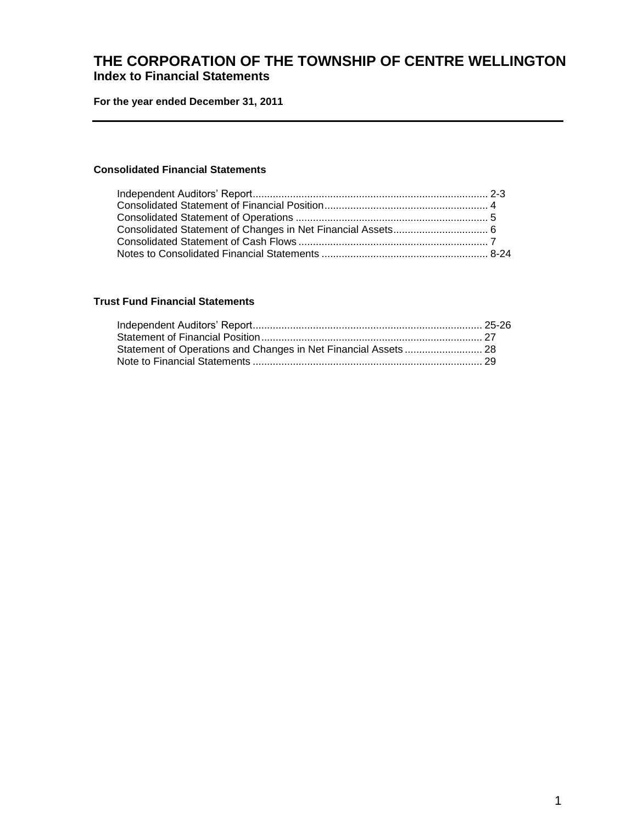## **THE CORPORATION OF THE TOWNSHIP OF CENTRE WELLINGTON Index to Financial Statements**

**For the year ended December 31, 2011**

### **Consolidated Financial Statements**

## **Trust Fund Financial Statements**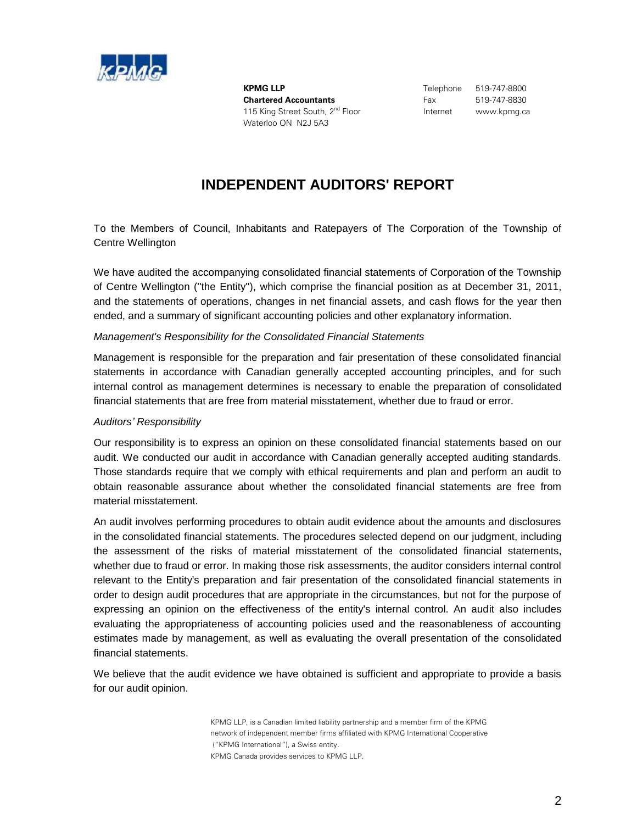

**KPMG LLP** Telephone 519-747-8800 **Chartered Accountants** Fax 519-747-8830 115 King Street South, 2<sup>nd</sup> Floor **Internet** www.kpmg.ca Waterloo ON N2J 5A3

# **INDEPENDENT AUDITORS' REPORT**

To the Members of Council, Inhabitants and Ratepayers of The Corporation of the Township of Centre Wellington

We have audited the accompanying consolidated financial statements of Corporation of the Township of Centre Wellington (''the Entity''), which comprise the financial position as at December 31, 2011, and the statements of operations, changes in net financial assets, and cash flows for the year then ended, and a summary of significant accounting policies and other explanatory information.

## *Management's Responsibility for the Consolidated Financial Statements*

Management is responsible for the preparation and fair presentation of these consolidated financial statements in accordance with Canadian generally accepted accounting principles, and for such internal control as management determines is necessary to enable the preparation of consolidated financial statements that are free from material misstatement, whether due to fraud or error.

#### *Auditors' Responsibility*

Our responsibility is to express an opinion on these consolidated financial statements based on our audit. We conducted our audit in accordance with Canadian generally accepted auditing standards. Those standards require that we comply with ethical requirements and plan and perform an audit to obtain reasonable assurance about whether the consolidated financial statements are free from material misstatement.

An audit involves performing procedures to obtain audit evidence about the amounts and disclosures in the consolidated financial statements. The procedures selected depend on our judgment, including the assessment of the risks of material misstatement of the consolidated financial statements, whether due to fraud or error. In making those risk assessments, the auditor considers internal control relevant to the Entity's preparation and fair presentation of the consolidated financial statements in order to design audit procedures that are appropriate in the circumstances, but not for the purpose of expressing an opinion on the effectiveness of the entity's internal control. An audit also includes evaluating the appropriateness of accounting policies used and the reasonableness of accounting estimates made by management, as well as evaluating the overall presentation of the consolidated financial statements.

We believe that the audit evidence we have obtained is sufficient and appropriate to provide a basis for our audit opinion.

> KPMG LLP, is a Canadian limited liability partnership and a member firm of the KPMG network of independent member firms affiliated with KPMG International Cooperative ("KPMG International"), a Swiss entity. KPMG Canada provides services to KPMG LLP.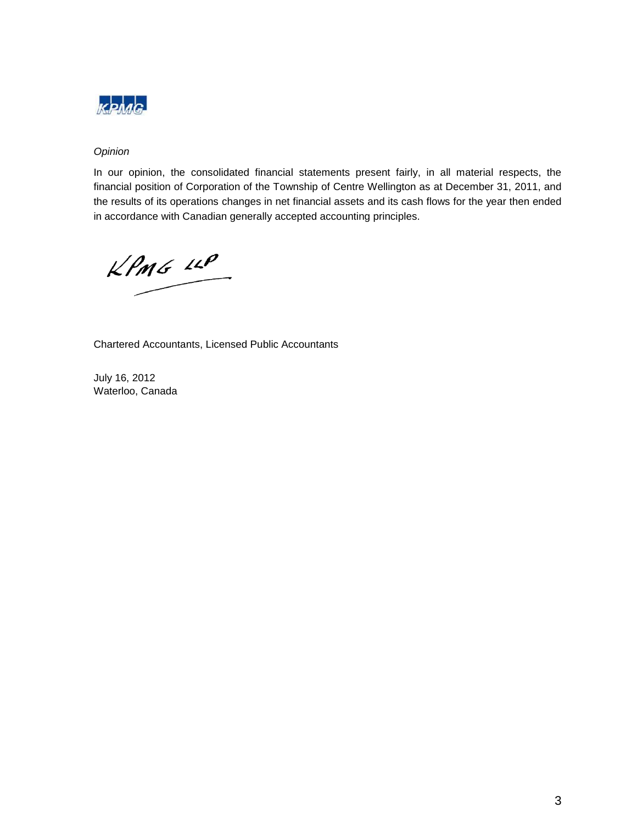

## *Opinion*

In our opinion, the consolidated financial statements present fairly, in all material respects, the financial position of Corporation of the Township of Centre Wellington as at December 31, 2011, and the results of its operations changes in net financial assets and its cash flows for the year then ended in accordance with Canadian generally accepted accounting principles.

 $KPMG$  14P

Chartered Accountants, Licensed Public Accountants

July 16, 2012 Waterloo, Canada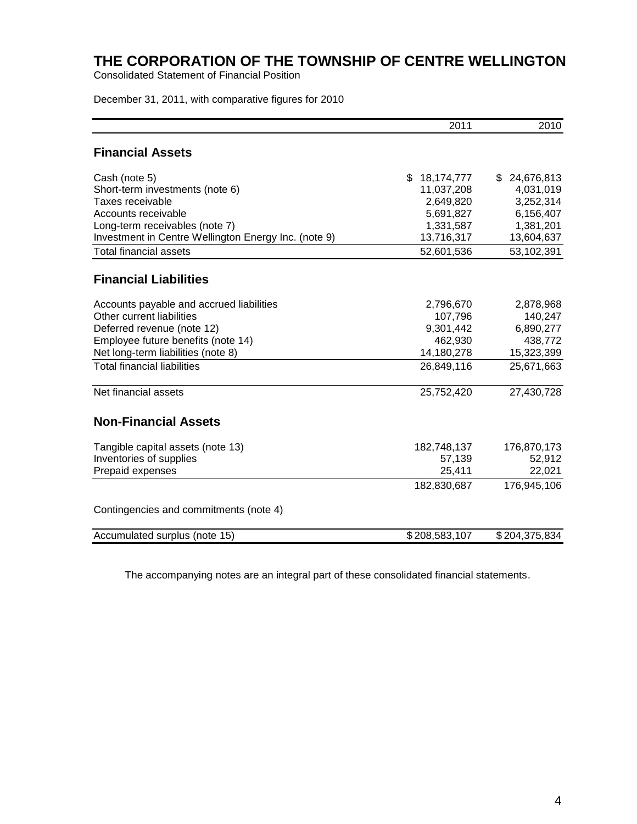Consolidated Statement of Financial Position

December 31, 2011, with comparative figures for 2010

|                                                      | 2011             | 2010             |
|------------------------------------------------------|------------------|------------------|
| <b>Financial Assets</b>                              |                  |                  |
| Cash (note 5)                                        | \$<br>18,174,777 | 24,676,813<br>\$ |
| Short-term investments (note 6)                      | 11,037,208       | 4,031,019        |
| Taxes receivable                                     | 2,649,820        | 3,252,314        |
| Accounts receivable                                  | 5,691,827        | 6,156,407        |
| Long-term receivables (note 7)                       | 1,331,587        | 1,381,201        |
| Investment in Centre Wellington Energy Inc. (note 9) | 13,716,317       | 13,604,637       |
| <b>Total financial assets</b>                        | 52,601,536       | 53,102,391       |
| <b>Financial Liabilities</b>                         |                  |                  |
| Accounts payable and accrued liabilities             | 2,796,670        | 2,878,968        |
| Other current liabilities                            | 107,796          | 140,247          |
| Deferred revenue (note 12)                           | 9,301,442        | 6,890,277        |
| Employee future benefits (note 14)                   | 462,930          | 438,772          |
| Net long-term liabilities (note 8)                   | 14,180,278       | 15,323,399       |
| <b>Total financial liabilities</b>                   | 26,849,116       | 25,671,663       |
| Net financial assets                                 | 25,752,420       | 27,430,728       |
| <b>Non-Financial Assets</b>                          |                  |                  |
| Tangible capital assets (note 13)                    | 182,748,137      | 176,870,173      |
| Inventories of supplies                              | 57,139           | 52,912           |
| Prepaid expenses                                     | 25,411           | 22,021           |
|                                                      | 182,830,687      | 176,945,106      |
| Contingencies and commitments (note 4)               |                  |                  |
| Accumulated surplus (note 15)                        | \$208,583,107    | \$204,375,834    |
|                                                      |                  |                  |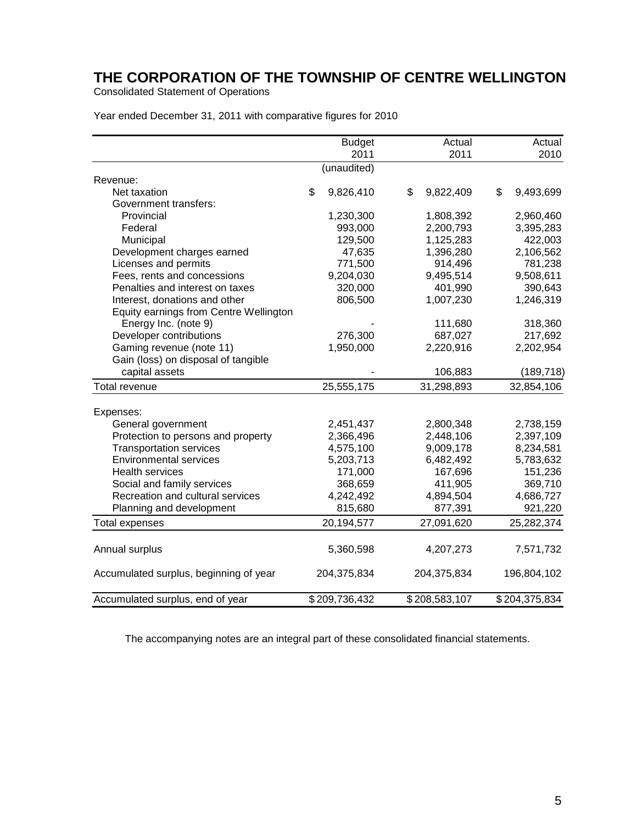Consolidated Statement of Operations

|                                        | <b>Budget</b><br>2011 | Actual<br>2011  | Actual<br>2010  |
|----------------------------------------|-----------------------|-----------------|-----------------|
|                                        | (unaudited)           |                 |                 |
| Revenue:                               |                       |                 |                 |
| Net taxation                           | \$<br>9,826,410       | \$<br>9,822,409 | \$<br>9,493,699 |
| Government transfers:                  |                       |                 |                 |
| Provincial                             | 1,230,300             | 1,808,392       | 2,960,460       |
| Federal                                | 993,000               | 2,200,793       | 3,395,283       |
| Municipal                              | 129,500               | 1,125,283       | 422,003         |
| Development charges earned             | 47,635                | 1,396,280       | 2,106,562       |
| Licenses and permits                   | 771,500               | 914,496         | 781,238         |
| Fees, rents and concessions            | 9,204,030             | 9,495,514       | 9,508,611       |
| Penalties and interest on taxes        | 320,000               | 401,990         | 390,643         |
| Interest, donations and other          | 806,500               | 1,007,230       | 1,246,319       |
| Equity earnings from Centre Wellington |                       |                 |                 |
| Energy Inc. (note 9)                   |                       | 111,680         | 318,360         |
| Developer contributions                | 276,300               | 687,027         | 217,692         |
| Gaming revenue (note 11)               | 1,950,000             | 2,220,916       | 2,202,954       |
| Gain (loss) on disposal of tangible    |                       |                 |                 |
| capital assets                         |                       | 106,883         | (189, 718)      |
| Total revenue                          | 25,555,175            | 31,298,893      | 32,854,106      |
| Expenses:                              |                       |                 |                 |
| General government                     | 2,451,437             | 2,800,348       | 2,738,159       |
| Protection to persons and property     | 2,366,496             | 2,448,106       | 2,397,109       |
| <b>Transportation services</b>         | 4,575,100             | 9,009,178       | 8,234,581       |
| <b>Environmental services</b>          | 5,203,713             | 6,482,492       | 5,783,632       |
| <b>Health services</b>                 | 171,000               | 167,696         | 151,236         |
| Social and family services             | 368,659               | 411,905         | 369,710         |
| Recreation and cultural services       | 4,242,492             | 4,894,504       | 4,686,727       |
| Planning and development               | 815,680               | 877,391         | 921,220         |
| <b>Total expenses</b>                  | 20,194,577            | 27,091,620      | 25,282,374      |
|                                        |                       |                 |                 |
| Annual surplus                         | 5,360,598             | 4,207,273       | 7,571,732       |
| Accumulated surplus, beginning of year | 204,375,834           | 204,375,834     | 196,804,102     |
| Accumulated surplus, end of year       | \$209,736,432         | \$208,583,107   | \$204,375,834   |

Year ended December 31, 2011 with comparative figures for 2010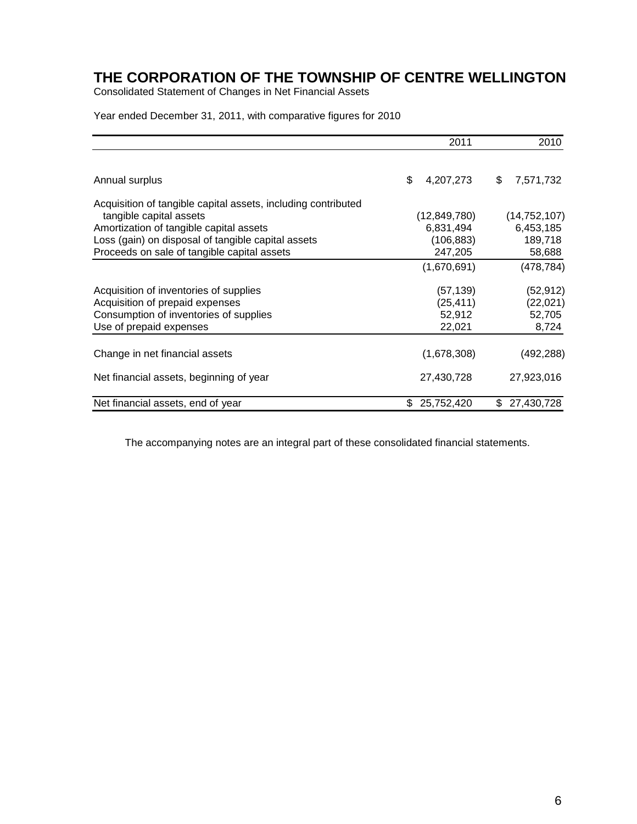Consolidated Statement of Changes in Net Financial Assets

Year ended December 31, 2011, with comparative figures for 2010

|                                                               | 2011             | 2010             |
|---------------------------------------------------------------|------------------|------------------|
| Annual surplus                                                | \$<br>4,207,273  | \$<br>7,571,732  |
| Acquisition of tangible capital assets, including contributed |                  |                  |
| tangible capital assets                                       | (12, 849, 780)   | (14, 752, 107)   |
| Amortization of tangible capital assets                       | 6,831,494        | 6,453,185        |
| Loss (gain) on disposal of tangible capital assets            | (106, 883)       | 189,718          |
| Proceeds on sale of tangible capital assets                   | 247,205          | 58,688           |
|                                                               | (1,670,691)      | (478, 784)       |
| Acquisition of inventories of supplies                        | (57, 139)        | (52, 912)        |
| Acquisition of prepaid expenses                               | (25, 411)        | (22, 021)        |
| Consumption of inventories of supplies                        | 52,912           | 52,705           |
| Use of prepaid expenses                                       | 22,021           | 8,724            |
| Change in net financial assets                                | (1,678,308)      | (492,288)        |
| Net financial assets, beginning of year                       | 27,430,728       | 27,923,016       |
| Net financial assets, end of year                             | 25,752,420<br>\$ | \$<br>27,430,728 |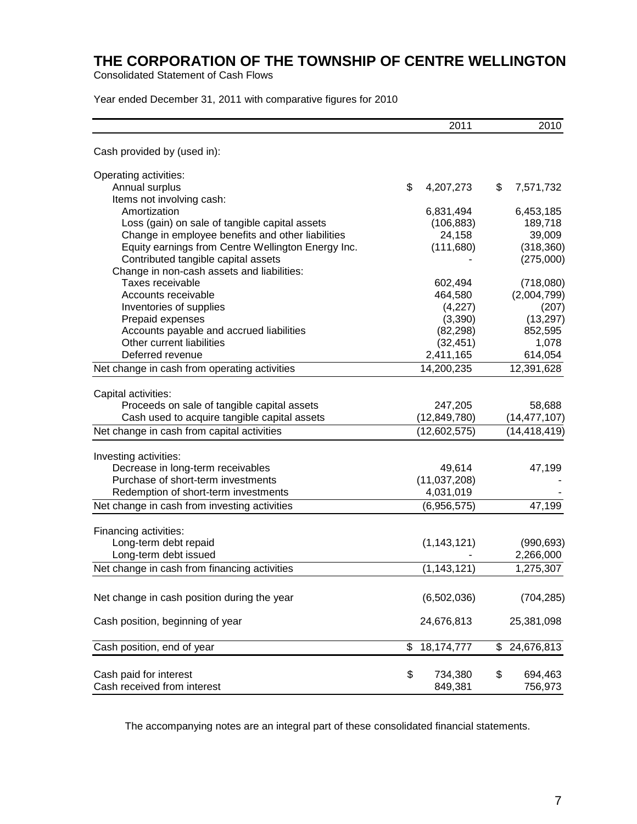Consolidated Statement of Cash Flows

Year ended December 31, 2011 with comparative figures for 2010

|                                                    | 2011             | 2010             |
|----------------------------------------------------|------------------|------------------|
| Cash provided by (used in):                        |                  |                  |
| Operating activities:                              |                  |                  |
| Annual surplus                                     | \$<br>4,207,273  | \$<br>7,571,732  |
| Items not involving cash:                          |                  |                  |
| Amortization                                       | 6,831,494        | 6,453,185        |
| Loss (gain) on sale of tangible capital assets     | (106, 883)       | 189,718          |
| Change in employee benefits and other liabilities  | 24,158           | 39,009           |
| Equity earnings from Centre Wellington Energy Inc. | (111,680)        | (318, 360)       |
| Contributed tangible capital assets                |                  | (275,000)        |
| Change in non-cash assets and liabilities:         |                  |                  |
| Taxes receivable                                   | 602,494          | (718,080)        |
| Accounts receivable                                | 464,580          | (2,004,799)      |
| Inventories of supplies                            | (4,227)          | (207)            |
| Prepaid expenses                                   | (3,390)          | (13, 297)        |
| Accounts payable and accrued liabilities           | (82, 298)        | 852,595          |
| Other current liabilities                          | (32, 451)        | 1,078            |
| Deferred revenue                                   | 2,411,165        | 614,054          |
| Net change in cash from operating activities       | 14,200,235       | 12,391,628       |
| Capital activities:                                |                  |                  |
| Proceeds on sale of tangible capital assets        | 247,205          | 58,688           |
| Cash used to acquire tangible capital assets       | (12, 849, 780)   | (14, 477, 107)   |
| Net change in cash from capital activities         | (12,602,575)     | (14, 418, 419)   |
|                                                    |                  |                  |
| Investing activities:                              |                  |                  |
| Decrease in long-term receivables                  | 49,614           | 47,199           |
| Purchase of short-term investments                 | (11,037,208)     |                  |
| Redemption of short-term investments               | 4,031,019        |                  |
| Net change in cash from investing activities       | (6,956,575)      | 47,199           |
| Financing activities:                              |                  |                  |
| Long-term debt repaid                              | (1, 143, 121)    | (990, 693)       |
| Long-term debt issued                              |                  | 2,266,000        |
| Net change in cash from financing activities       | (1, 143, 121)    | 1,275,307        |
|                                                    |                  |                  |
| Net change in cash position during the year        | (6,502,036)      | (704, 285)       |
| Cash position, beginning of year                   | 24,676,813       | 25,381,098       |
| Cash position, end of year                         | \$<br>18,174,777 | \$<br>24,676,813 |
|                                                    |                  |                  |
| Cash paid for interest                             | \$<br>734,380    | \$<br>694,463    |
| Cash received from interest                        | 849,381          | 756,973          |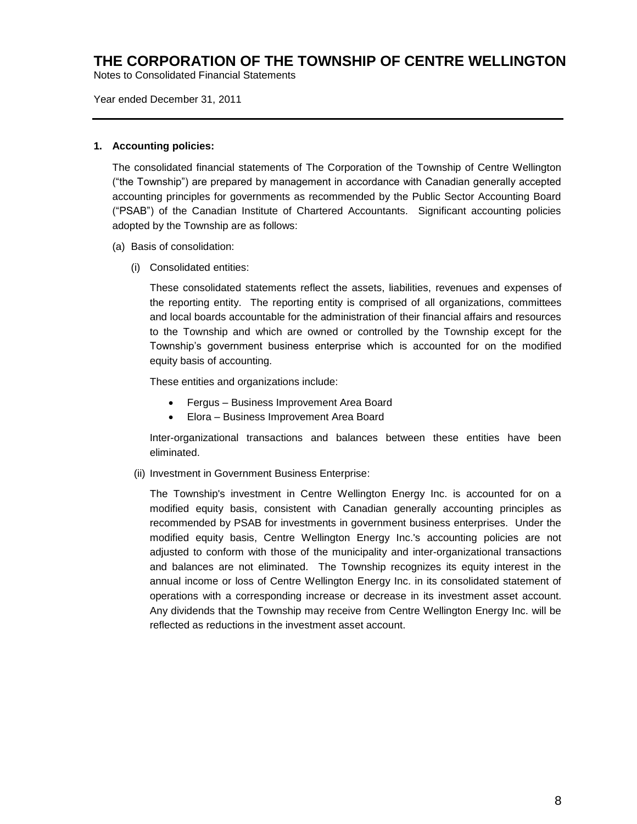Notes to Consolidated Financial Statements

Year ended December 31, 2011

#### **1. Accounting policies:**

The consolidated financial statements of The Corporation of the Township of Centre Wellington ("the Township") are prepared by management in accordance with Canadian generally accepted accounting principles for governments as recommended by the Public Sector Accounting Board ("PSAB") of the Canadian Institute of Chartered Accountants. Significant accounting policies adopted by the Township are as follows:

- (a) Basis of consolidation:
	- (i) Consolidated entities:

These consolidated statements reflect the assets, liabilities, revenues and expenses of the reporting entity. The reporting entity is comprised of all organizations, committees and local boards accountable for the administration of their financial affairs and resources to the Township and which are owned or controlled by the Township except for the Township's government business enterprise which is accounted for on the modified equity basis of accounting.

These entities and organizations include:

- Fergus Business Improvement Area Board
- Elora Business Improvement Area Board

Inter-organizational transactions and balances between these entities have been eliminated.

(ii) Investment in Government Business Enterprise:

The Township's investment in Centre Wellington Energy Inc. is accounted for on a modified equity basis, consistent with Canadian generally accounting principles as recommended by PSAB for investments in government business enterprises. Under the modified equity basis, Centre Wellington Energy Inc.'s accounting policies are not adjusted to conform with those of the municipality and inter-organizational transactions and balances are not eliminated. The Township recognizes its equity interest in the annual income or loss of Centre Wellington Energy Inc. in its consolidated statement of operations with a corresponding increase or decrease in its investment asset account. Any dividends that the Township may receive from Centre Wellington Energy Inc. will be reflected as reductions in the investment asset account.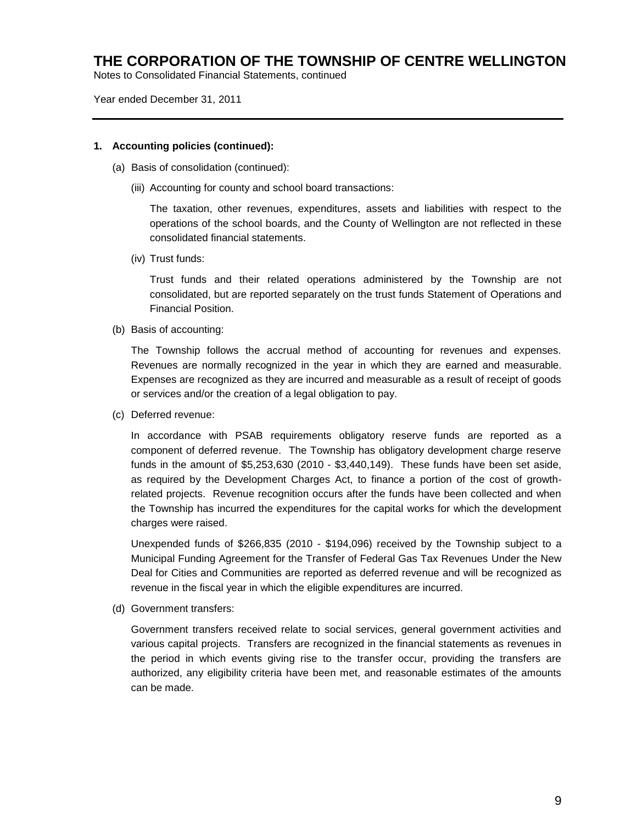Notes to Consolidated Financial Statements, continued

Year ended December 31, 2011

## **1. Accounting policies (continued):**

- (a) Basis of consolidation (continued):
	- (iii) Accounting for county and school board transactions:

The taxation, other revenues, expenditures, assets and liabilities with respect to the operations of the school boards, and the County of Wellington are not reflected in these consolidated financial statements.

(iv) Trust funds:

Trust funds and their related operations administered by the Township are not consolidated, but are reported separately on the trust funds Statement of Operations and Financial Position.

(b) Basis of accounting:

The Township follows the accrual method of accounting for revenues and expenses. Revenues are normally recognized in the year in which they are earned and measurable. Expenses are recognized as they are incurred and measurable as a result of receipt of goods or services and/or the creation of a legal obligation to pay.

(c) Deferred revenue:

In accordance with PSAB requirements obligatory reserve funds are reported as a component of deferred revenue. The Township has obligatory development charge reserve funds in the amount of \$5,253,630 (2010 - \$3,440,149). These funds have been set aside, as required by the Development Charges Act, to finance a portion of the cost of growthrelated projects. Revenue recognition occurs after the funds have been collected and when the Township has incurred the expenditures for the capital works for which the development charges were raised.

Unexpended funds of \$266,835 (2010 - \$194,096) received by the Township subject to a Municipal Funding Agreement for the Transfer of Federal Gas Tax Revenues Under the New Deal for Cities and Communities are reported as deferred revenue and will be recognized as revenue in the fiscal year in which the eligible expenditures are incurred.

(d) Government transfers:

Government transfers received relate to social services, general government activities and various capital projects. Transfers are recognized in the financial statements as revenues in the period in which events giving rise to the transfer occur, providing the transfers are authorized, any eligibility criteria have been met, and reasonable estimates of the amounts can be made.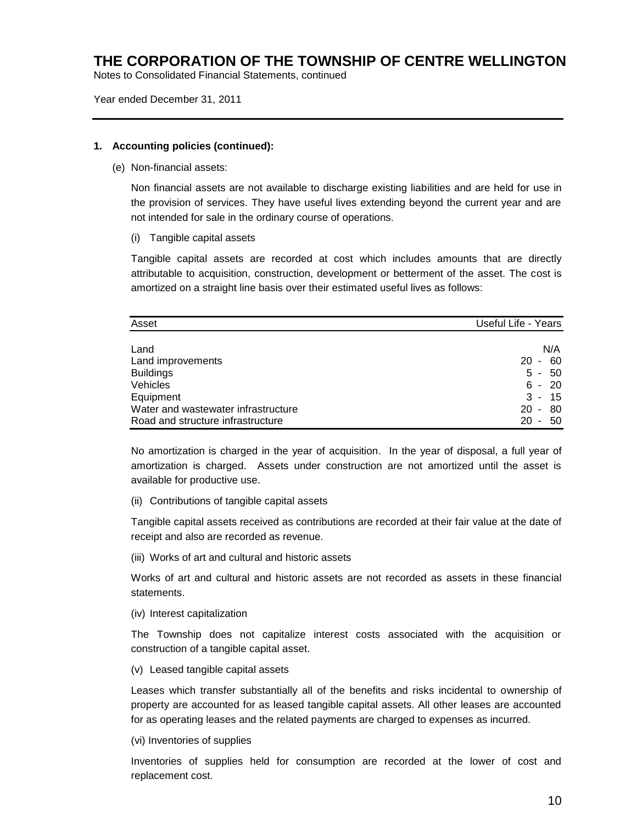Notes to Consolidated Financial Statements, continued

Year ended December 31, 2011

#### **1. Accounting policies (continued):**

(e) Non-financial assets:

Non financial assets are not available to discharge existing liabilities and are held for use in the provision of services. They have useful lives extending beyond the current year and are not intended for sale in the ordinary course of operations.

(i) Tangible capital assets

Tangible capital assets are recorded at cost which includes amounts that are directly attributable to acquisition, construction, development or betterment of the asset. The cost is amortized on a straight line basis over their estimated useful lives as follows:

| Asset                               | Useful Life - Years                  |
|-------------------------------------|--------------------------------------|
|                                     |                                      |
| Land                                | N/A                                  |
| Land improvements                   | -60<br><b>20</b><br>$\sim$           |
| <b>Buildings</b>                    | 50<br>5 -                            |
| Vehicles                            | $6 - 20$                             |
| Equipment                           | $3 -$<br>-15                         |
| Water and wastewater infrastructure | $20 -$<br>- 80                       |
| Road and structure infrastructure   | 20<br>50<br>$\overline{\phantom{a}}$ |

No amortization is charged in the year of acquisition. In the year of disposal, a full year of amortization is charged. Assets under construction are not amortized until the asset is available for productive use.

(ii) Contributions of tangible capital assets

Tangible capital assets received as contributions are recorded at their fair value at the date of receipt and also are recorded as revenue.

(iii) Works of art and cultural and historic assets

Works of art and cultural and historic assets are not recorded as assets in these financial statements.

(iv) Interest capitalization

The Township does not capitalize interest costs associated with the acquisition or construction of a tangible capital asset.

(v) Leased tangible capital assets

Leases which transfer substantially all of the benefits and risks incidental to ownership of property are accounted for as leased tangible capital assets. All other leases are accounted for as operating leases and the related payments are charged to expenses as incurred.

(vi) Inventories of supplies

Inventories of supplies held for consumption are recorded at the lower of cost and replacement cost.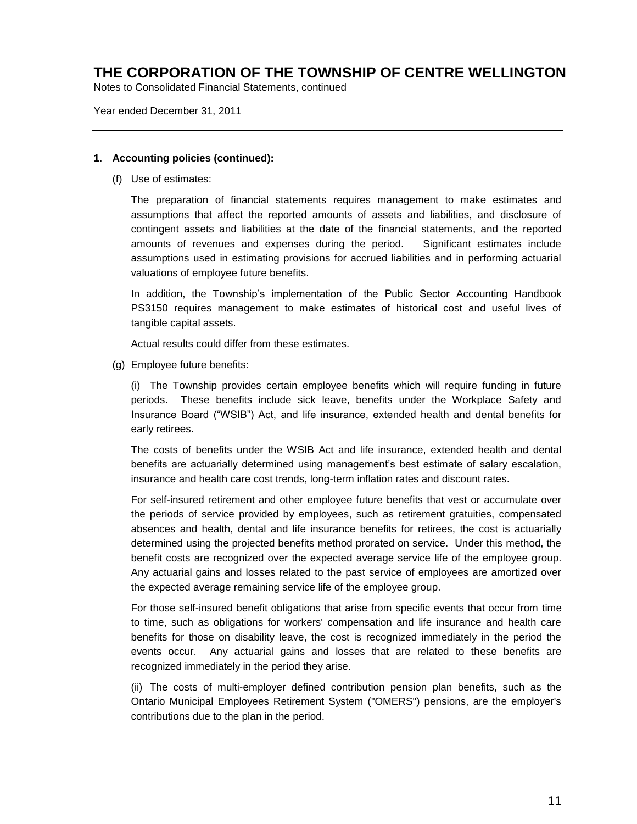Notes to Consolidated Financial Statements, continued

Year ended December 31, 2011

### **1. Accounting policies (continued):**

(f) Use of estimates:

The preparation of financial statements requires management to make estimates and assumptions that affect the reported amounts of assets and liabilities, and disclosure of contingent assets and liabilities at the date of the financial statements, and the reported amounts of revenues and expenses during the period. Significant estimates include assumptions used in estimating provisions for accrued liabilities and in performing actuarial valuations of employee future benefits.

In addition, the Township's implementation of the Public Sector Accounting Handbook PS3150 requires management to make estimates of historical cost and useful lives of tangible capital assets.

Actual results could differ from these estimates.

(g) Employee future benefits:

(i) The Township provides certain employee benefits which will require funding in future periods. These benefits include sick leave, benefits under the Workplace Safety and Insurance Board ("WSIB") Act, and life insurance, extended health and dental benefits for early retirees.

The costs of benefits under the WSIB Act and life insurance, extended health and dental benefits are actuarially determined using management's best estimate of salary escalation, insurance and health care cost trends, long-term inflation rates and discount rates.

For self-insured retirement and other employee future benefits that vest or accumulate over the periods of service provided by employees, such as retirement gratuities, compensated absences and health, dental and life insurance benefits for retirees, the cost is actuarially determined using the projected benefits method prorated on service. Under this method, the benefit costs are recognized over the expected average service life of the employee group. Any actuarial gains and losses related to the past service of employees are amortized over the expected average remaining service life of the employee group.

For those self-insured benefit obligations that arise from specific events that occur from time to time, such as obligations for workers' compensation and life insurance and health care benefits for those on disability leave, the cost is recognized immediately in the period the events occur. Any actuarial gains and losses that are related to these benefits are recognized immediately in the period they arise.

(ii) The costs of multi-employer defined contribution pension plan benefits, such as the Ontario Municipal Employees Retirement System ("OMERS") pensions, are the employer's contributions due to the plan in the period.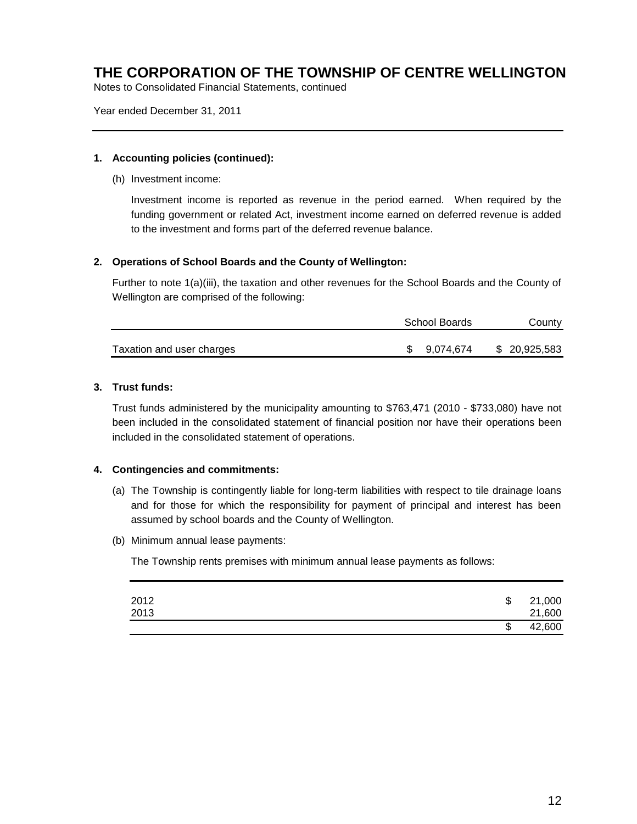Notes to Consolidated Financial Statements, continued

Year ended December 31, 2011

## **1. Accounting policies (continued):**

(h) Investment income:

Investment income is reported as revenue in the period earned. When required by the funding government or related Act, investment income earned on deferred revenue is added to the investment and forms part of the deferred revenue balance.

## **2. Operations of School Boards and the County of Wellington:**

Further to note 1(a)(iii), the taxation and other revenues for the School Boards and the County of Wellington are comprised of the following:

|                           | School Boards | County       |
|---------------------------|---------------|--------------|
| Taxation and user charges | \$ 9,074,674  | \$20,925,583 |

## **3. Trust funds:**

Trust funds administered by the municipality amounting to \$763,471 (2010 - \$733,080) have not been included in the consolidated statement of financial position nor have their operations been included in the consolidated statement of operations.

## **4. Contingencies and commitments:**

- (a) The Township is contingently liable for long-term liabilities with respect to tile drainage loans and for those for which the responsibility for payment of principal and interest has been assumed by school boards and the County of Wellington.
- (b) Minimum annual lease payments:

The Township rents premises with minimum annual lease payments as follows:

| 2012<br>2013 | \$<br>21,000<br>21,600 |
|--------------|------------------------|
|              | \$<br>42,600           |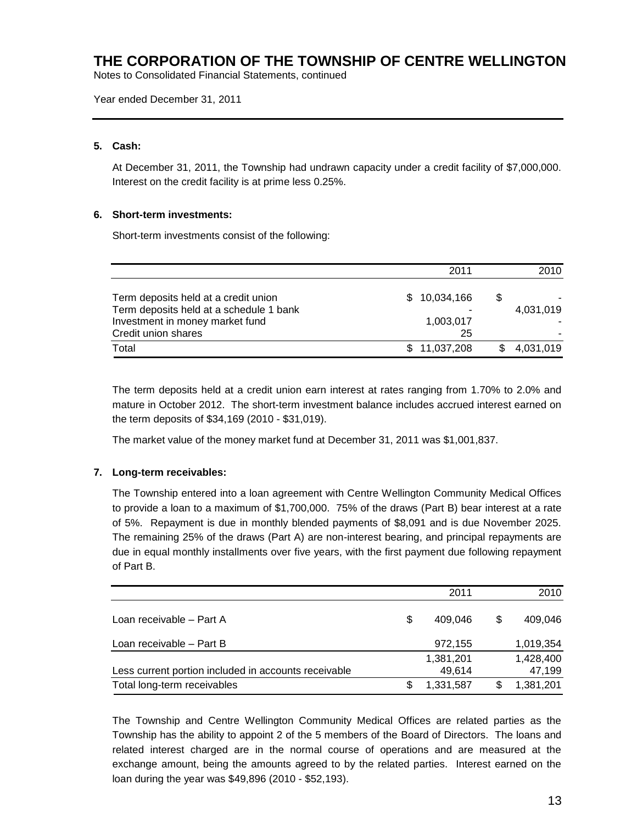Notes to Consolidated Financial Statements, continued

Year ended December 31, 2011

### **5. Cash:**

At December 31, 2011, the Township had undrawn capacity under a credit facility of \$7,000,000. Interest on the credit facility is at prime less 0.25%.

## **6. Short-term investments:**

Short-term investments consist of the following:

|                                                                                                                    | 2011                           | 2010            |
|--------------------------------------------------------------------------------------------------------------------|--------------------------------|-----------------|
| Term deposits held at a credit union<br>Term deposits held at a schedule 1 bank<br>Investment in money market fund | 10,034,166<br>SS.<br>1,003,017 | \$<br>4,031,019 |
| Credit union shares<br>Total                                                                                       | 25<br>\$11,037,208             | 4,031,019       |

The term deposits held at a credit union earn interest at rates ranging from 1.70% to 2.0% and mature in October 2012. The short-term investment balance includes accrued interest earned on the term deposits of \$34,169 (2010 - \$31,019).

The market value of the money market fund at December 31, 2011 was \$1,001,837.

## **7. Long-term receivables:**

The Township entered into a loan agreement with Centre Wellington Community Medical Offices to provide a loan to a maximum of \$1,700,000. 75% of the draws (Part B) bear interest at a rate of 5%. Repayment is due in monthly blended payments of \$8,091 and is due November 2025. The remaining 25% of the draws (Part A) are non-interest bearing, and principal repayments are due in equal monthly installments over five years, with the first payment due following repayment of Part B.

|                                                      |   | 2011                |   | 2010                |
|------------------------------------------------------|---|---------------------|---|---------------------|
| Loan receivable - Part A                             | S | 409.046             | S | 409.046             |
| Loan receivable - Part B                             |   | 972,155             |   | 1,019,354           |
| Less current portion included in accounts receivable |   | 1,381,201<br>49,614 |   | 1,428,400<br>47,199 |
| Total long-term receivables                          |   | 1.331.587           |   | 1,381,201           |

The Township and Centre Wellington Community Medical Offices are related parties as the Township has the ability to appoint 2 of the 5 members of the Board of Directors. The loans and related interest charged are in the normal course of operations and are measured at the exchange amount, being the amounts agreed to by the related parties. Interest earned on the loan during the year was \$49,896 (2010 - \$52,193).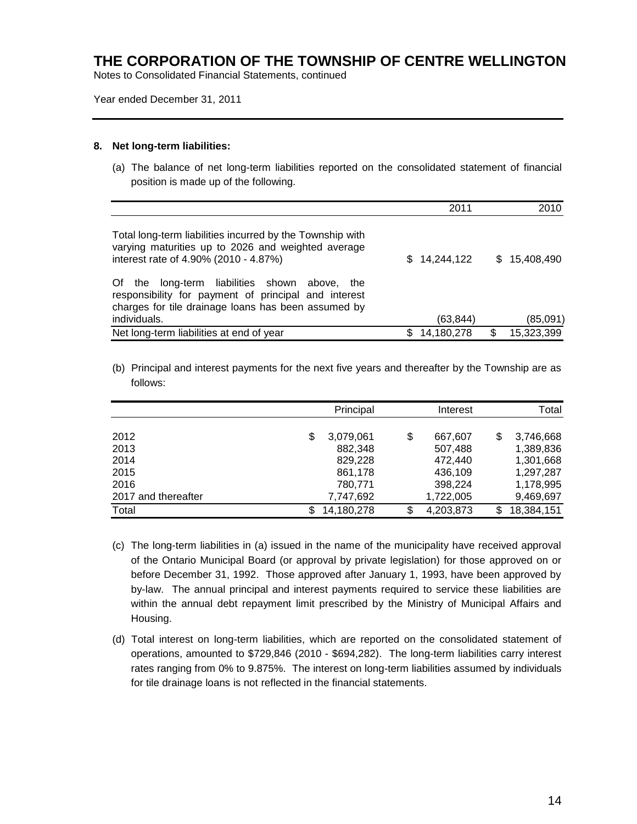Notes to Consolidated Financial Statements, continued

Year ended December 31, 2011

## **8. Net long-term liabilities:**

(a) The balance of net long-term liabilities reported on the consolidated statement of financial position is made up of the following.

|                                                                                                                                                                              | 2011         | 2010             |
|------------------------------------------------------------------------------------------------------------------------------------------------------------------------------|--------------|------------------|
| Total long-term liabilities incurred by the Township with<br>varying maturities up to 2026 and weighted average<br>interest rate of 4.90% (2010 - 4.87%)                     | \$14,244,122 | \$15,408,490     |
| Of the long-term liabilities shown above, the<br>responsibility for payment of principal and interest<br>charges for tile drainage loans has been assumed by<br>individuals. | (63, 844)    | (85,091)         |
|                                                                                                                                                                              |              |                  |
| Net long-term liabilities at end of year                                                                                                                                     | 14,180,278   | \$<br>15,323,399 |

(b) Principal and interest payments for the next five years and thereafter by the Township are as follows:

|                     | Principal  |    | Interest  | Total            |
|---------------------|------------|----|-----------|------------------|
|                     |            |    |           |                  |
| 2012                | 3,079,061  | \$ | 667,607   | \$<br>3,746,668  |
| 2013                | 882.348    |    | 507,488   | 1,389,836        |
| 2014                | 829,228    |    | 472,440   | 1,301,668        |
| 2015                | 861,178    |    | 436,109   | 1,297,287        |
| 2016                | 780,771    |    | 398,224   | 1,178,995        |
| 2017 and thereafter | 7,747,692  |    | 1,722,005 | 9,469,697        |
| Total               | 14,180,278 | S  | 4,203,873 | \$<br>18,384,151 |

- (c) The long-term liabilities in (a) issued in the name of the municipality have received approval of the Ontario Municipal Board (or approval by private legislation) for those approved on or before December 31, 1992. Those approved after January 1, 1993, have been approved by by-law. The annual principal and interest payments required to service these liabilities are within the annual debt repayment limit prescribed by the Ministry of Municipal Affairs and Housing.
- (d) Total interest on long-term liabilities, which are reported on the consolidated statement of operations, amounted to \$729,846 (2010 - \$694,282). The long-term liabilities carry interest rates ranging from 0% to 9.875%. The interest on long-term liabilities assumed by individuals for tile drainage loans is not reflected in the financial statements.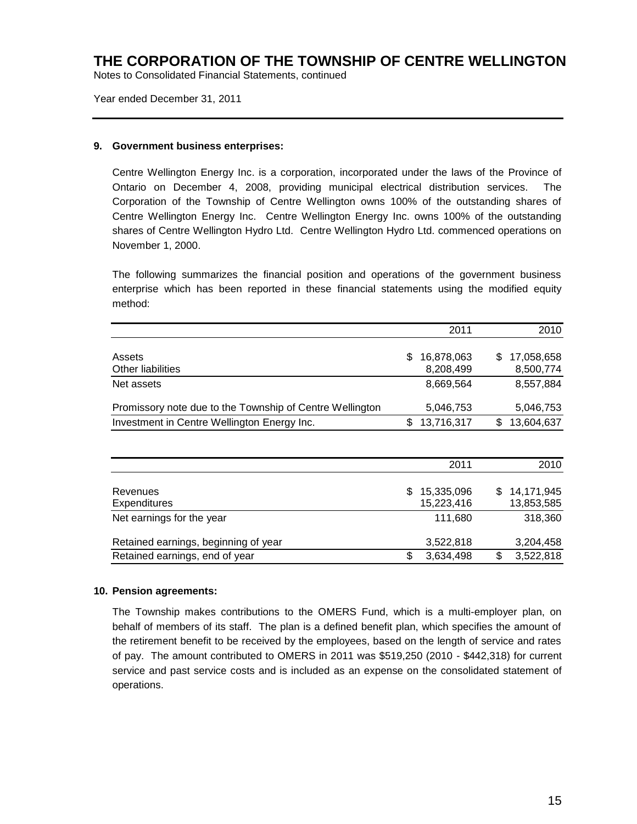Notes to Consolidated Financial Statements, continued

Year ended December 31, 2011

### **9. Government business enterprises:**

Centre Wellington Energy Inc. is a corporation, incorporated under the laws of the Province of Ontario on December 4, 2008, providing municipal electrical distribution services. The Corporation of the Township of Centre Wellington owns 100% of the outstanding shares of Centre Wellington Energy Inc. Centre Wellington Energy Inc. owns 100% of the outstanding shares of Centre Wellington Hydro Ltd. Centre Wellington Hydro Ltd. commenced operations on November 1, 2000.

The following summarizes the financial position and operations of the government business enterprise which has been reported in these financial statements using the modified equity method:

|                                                          |                                | 2011 | 2010                           |
|----------------------------------------------------------|--------------------------------|------|--------------------------------|
| Assets                                                   | 16,878,063<br>\$               |      | \$<br>17,058,658               |
| Other liabilities                                        | 8,208,499                      |      | 8,500,774                      |
| Net assets                                               | 8,669,564                      |      | 8,557,884                      |
| Promissory note due to the Township of Centre Wellington | 5,046,753                      |      | 5,046,753                      |
| Investment in Centre Wellington Energy Inc.              | \$<br>13,716,317               |      | \$<br>13,604,637               |
|                                                          |                                |      |                                |
|                                                          |                                | 2011 | 2010                           |
| Revenues<br>Expenditures                                 | \$<br>15,335,096<br>15,223,416 |      | \$<br>14,171,945<br>13,853,585 |

|                                      | .            | - - - - - - - |
|--------------------------------------|--------------|---------------|
| Retained earnings, beginning of year | 3,522,818    | 3,204,458     |
| Retained earnings, end of year       | \$ 3,634,498 | 3,522,818     |

Net earnings for the year 111,680 318,360

#### **10. Pension agreements:**

The Township makes contributions to the OMERS Fund, which is a multi-employer plan, on behalf of members of its staff. The plan is a defined benefit plan, which specifies the amount of the retirement benefit to be received by the employees, based on the length of service and rates of pay. The amount contributed to OMERS in 2011 was \$519,250 (2010 - \$442,318) for current service and past service costs and is included as an expense on the consolidated statement of operations.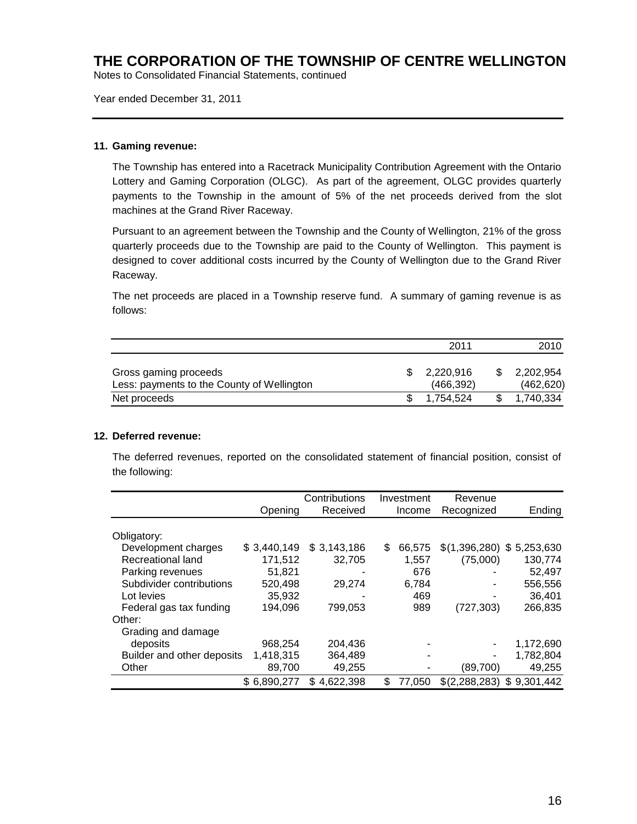Notes to Consolidated Financial Statements, continued

Year ended December 31, 2011

#### **11. Gaming revenue:**

The Township has entered into a Racetrack Municipality Contribution Agreement with the Ontario Lottery and Gaming Corporation (OLGC). As part of the agreement, OLGC provides quarterly payments to the Township in the amount of 5% of the net proceeds derived from the slot machines at the Grand River Raceway.

Pursuant to an agreement between the Township and the County of Wellington, 21% of the gross quarterly proceeds due to the Township are paid to the County of Wellington. This payment is designed to cover additional costs incurred by the County of Wellington due to the Grand River Raceway.

The net proceeds are placed in a Township reserve fund. A summary of gaming revenue is as follows:

|                                                                     | 2011                    | 2010                    |
|---------------------------------------------------------------------|-------------------------|-------------------------|
| Gross gaming proceeds<br>Less: payments to the County of Wellington | 2.220.916<br>(466, 392) | 2.202.954<br>(462, 620) |
| Net proceeds                                                        | 1.754.524               | 1,740,334               |

#### **12. Deferred revenue:**

The deferred revenues, reported on the consolidated statement of financial position, consist of the following:

|                            |             | Contributions  | Investment |        | Revenue       |             |
|----------------------------|-------------|----------------|------------|--------|---------------|-------------|
|                            | Opening     | Received       |            | Income | Recognized    | Ending      |
|                            |             |                |            |        |               |             |
| Obligatory:                |             |                |            |        |               |             |
| Development charges        | \$3,440,149 | \$3,143,186    | \$         | 66,575 | \$(1,396,280) | \$5,253,630 |
| Recreational land          | 171,512     | 32,705         |            | 1.557  | (75,000)      | 130,774     |
| Parking revenues           | 51.821      |                |            | 676    |               | 52,497      |
| Subdivider contributions   | 520,498     | 29.274         |            | 6,784  |               | 556,556     |
| Lot levies                 | 35,932      |                |            | 469    |               | 36,401      |
| Federal gas tax funding    | 194.096     | 799,053        |            | 989    | (727, 303)    | 266,835     |
| Other:                     |             |                |            |        |               |             |
| Grading and damage         |             |                |            |        |               |             |
| deposits                   | 968,254     | 204.436        |            |        | ۰             | 1,172,690   |
| Builder and other deposits | 1,418,315   | 364,489        |            |        | ۰             | 1,782,804   |
| Other                      | 89,700      | 49,255         |            |        | (89,700)      | 49,255      |
|                            | \$6.890.277 | 4,622,398<br>S | \$         | 77.050 | \$(2,288,283) | \$9,301,442 |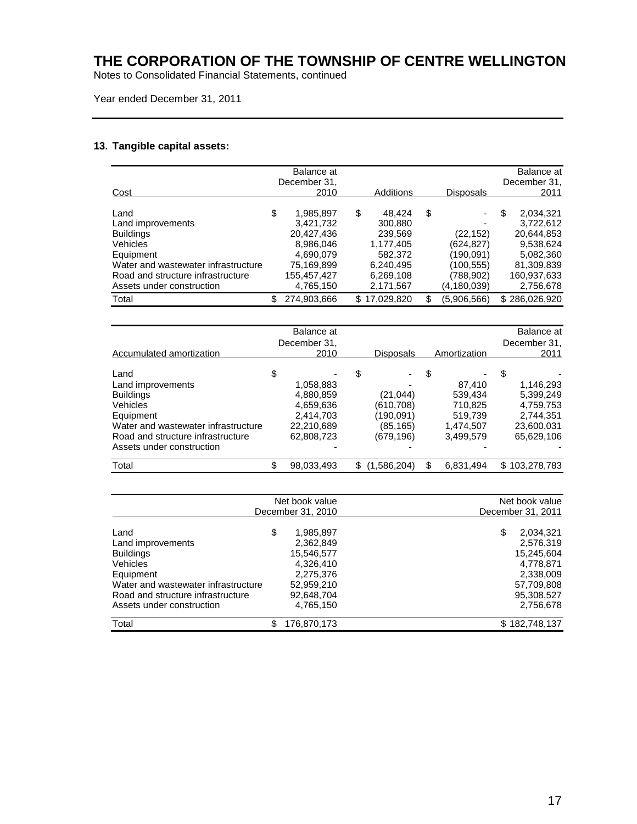Notes to Consolidated Financial Statements, continued

Year ended December 31, 2011

## **13. Tangible capital assets:**

| Cost                                                                                                                                                                            | Balance at<br>December 31,<br>2010                                                                | Additions                                                                            | <b>Disposals</b>                                                     | Balance at<br>December 31,<br>2011                                                                |
|---------------------------------------------------------------------------------------------------------------------------------------------------------------------------------|---------------------------------------------------------------------------------------------------|--------------------------------------------------------------------------------------|----------------------------------------------------------------------|---------------------------------------------------------------------------------------------------|
| Land<br>Land improvements<br><b>Buildings</b><br>Vehicles<br>Equipment<br>Water and wastewater infrastructure<br>Road and structure infrastructure<br>Assets under construction | \$<br>1,985,897<br>3,421,732<br>20,427,436<br>8,986,046<br>4,690,079<br>75,169,899<br>155,457,427 | \$<br>48.424<br>300,880<br>239,569<br>1,177,405<br>582,372<br>6,240,495<br>6,269,108 | \$<br>(22, 152)<br>(624, 827)<br>(190,091)<br>(100,555)<br>(788,902) | \$<br>2,034,321<br>3,722,612<br>20,644,853<br>9,538,624<br>5,082,360<br>81,309,839<br>160,937,633 |
| Total                                                                                                                                                                           | \$<br>4,765,150<br>274,903,666                                                                    | 2,171,567<br>\$17,029,820                                                            | \$<br>(4,180,039)<br>(5,906,566)                                     | 2,756,678<br>\$286,026,920                                                                        |

| Accumulated amortization                                                                                                                                                               | Balance at<br>December 31,<br>2010                                                 | <b>Disposals</b>                                                       | Amortization                                                            | Balance at<br>December 31,<br>2011                                                 |
|----------------------------------------------------------------------------------------------------------------------------------------------------------------------------------------|------------------------------------------------------------------------------------|------------------------------------------------------------------------|-------------------------------------------------------------------------|------------------------------------------------------------------------------------|
| Land<br>Land improvements<br><b>Buildings</b><br><b>Vehicles</b><br>Equipment<br>Water and wastewater infrastructure<br>Road and structure infrastructure<br>Assets under construction | \$<br>1,058,883<br>4,880,859<br>4,659,636<br>2,414,703<br>22,210,689<br>62,808,723 | \$<br>٠<br>(21,044)<br>(610,708)<br>(190,091)<br>(85,165)<br>(679,196) | \$<br>87.410<br>539.434<br>710,825<br>519.739<br>1,474,507<br>3,499,579 | \$<br>1,146,293<br>5,399,249<br>4,759,753<br>2,744,351<br>23,600,031<br>65,629,106 |
| Total                                                                                                                                                                                  | \$<br>98,033,493                                                                   | (1,586,204)                                                            | \$<br>6,831,494                                                         | \$103,278,783                                                                      |

|                                     | Net book value<br>December 31, 2010 |    | Net book value<br>December 31, 2011 |
|-------------------------------------|-------------------------------------|----|-------------------------------------|
| Land                                | \$<br>1,985,897                     | \$ | 2,034,321                           |
| Land improvements                   | 2,362,849                           |    | 2,576,319                           |
| <b>Buildings</b>                    | 15,546,577                          |    | 15,245,604                          |
| <b>Vehicles</b>                     | 4,326,410                           |    | 4,778,871                           |
| Equipment                           | 2,275,376                           |    | 2,338,009                           |
| Water and wastewater infrastructure | 52,959,210                          |    | 57,709,808                          |
| Road and structure infrastructure   | 92,648,704                          |    | 95,308,527                          |
| Assets under construction           | 4,765,150                           |    | 2,756,678                           |
| Total                               | 176,870,173                         |    | \$182,748,137                       |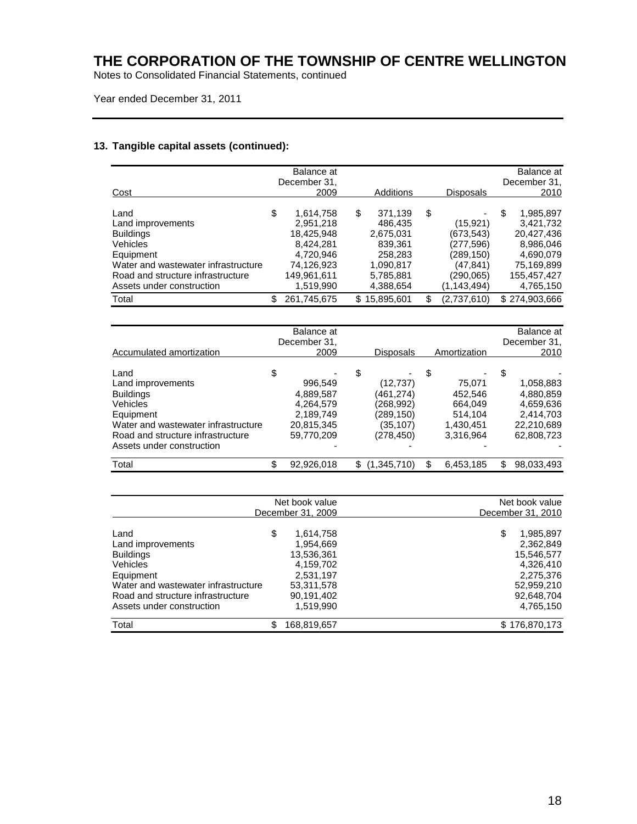Notes to Consolidated Financial Statements, continued

Year ended December 31, 2011

## **13. Tangible capital assets (continued):**

| Cost                                                                                                                                                                                   | Balance at<br>December 31,<br>2009                                                                             | Additions                                                                                          | <b>Disposals</b>                                                                                    |     | Balance at<br>December 31,<br>2010                                                                       |
|----------------------------------------------------------------------------------------------------------------------------------------------------------------------------------------|----------------------------------------------------------------------------------------------------------------|----------------------------------------------------------------------------------------------------|-----------------------------------------------------------------------------------------------------|-----|----------------------------------------------------------------------------------------------------------|
| Land<br>Land improvements<br><b>Buildings</b><br><b>Vehicles</b><br>Equipment<br>Water and wastewater infrastructure<br>Road and structure infrastructure<br>Assets under construction | \$<br>1,614,758<br>2,951,218<br>18,425,948<br>8,424,281<br>4.720.946<br>74.126.923<br>149,961,611<br>1,519,990 | \$<br>371,139<br>486.435<br>2,675,031<br>839,361<br>258,283<br>1,090,817<br>5,785,881<br>4,388,654 | \$<br>(15, 921)<br>(673, 543)<br>(277, 596)<br>(289,150)<br>(47, 841)<br>(290,065)<br>(1, 143, 494) | \$. | 1,985,897<br>3,421,732<br>20,427,436<br>8,986,046<br>4,690,079<br>75,169,899<br>155,457,427<br>4,765,150 |
| Total                                                                                                                                                                                  | \$<br>261,745,675                                                                                              | \$15,895,601                                                                                       | \$<br>(2,737,610)                                                                                   |     | \$274,903,666                                                                                            |

| Accumulated amortization                                                                                                                                                        | Balance at<br>December 31,<br>2009                                               | <b>Disposals</b>                                                               | Amortization                                                            |     | Balance at<br>December 31,<br>2010                                           |
|---------------------------------------------------------------------------------------------------------------------------------------------------------------------------------|----------------------------------------------------------------------------------|--------------------------------------------------------------------------------|-------------------------------------------------------------------------|-----|------------------------------------------------------------------------------|
| Land<br>Land improvements<br><b>Buildings</b><br>Vehicles<br>Equipment<br>Water and wastewater infrastructure<br>Road and structure infrastructure<br>Assets under construction | \$<br>996,549<br>4,889,587<br>4,264,579<br>2,189,749<br>20,815,345<br>59,770,209 | \$<br>(12,737)<br>(461,274)<br>(268,992)<br>(289,150)<br>(35,107)<br>(278,450) | \$<br>75,071<br>452,546<br>664.049<br>514.104<br>1,430,451<br>3,316,964 | -\$ | 1,058,883<br>4,880,859<br>4,659,636<br>2,414,703<br>22,210,689<br>62,808,723 |
| Total                                                                                                                                                                           | \$<br>92,926,018                                                                 | (1,345,710)                                                                    | \$<br>6,453,185                                                         | \$. | 98,033,493                                                                   |

| Net book value<br>December 31, 2009 |    |             | Net book value<br>December 31, 2010 |    |               |
|-------------------------------------|----|-------------|-------------------------------------|----|---------------|
| Land                                | \$ | 1,614,758   |                                     | \$ | 1,985,897     |
| Land improvements                   |    | 1,954,669   |                                     |    | 2,362,849     |
| <b>Buildings</b>                    |    | 13,536,361  |                                     |    | 15,546,577    |
| <b>Vehicles</b>                     |    | 4,159,702   |                                     |    | 4,326,410     |
| Equipment                           |    | 2,531,197   |                                     |    | 2,275,376     |
| Water and wastewater infrastructure |    | 53,311,578  |                                     |    | 52,959,210    |
| Road and structure infrastructure   |    | 90,191,402  |                                     |    | 92,648,704    |
| Assets under construction           |    | 1,519,990   |                                     |    | 4,765,150     |
| Total                               | \$ | 168,819,657 |                                     |    | \$176,870,173 |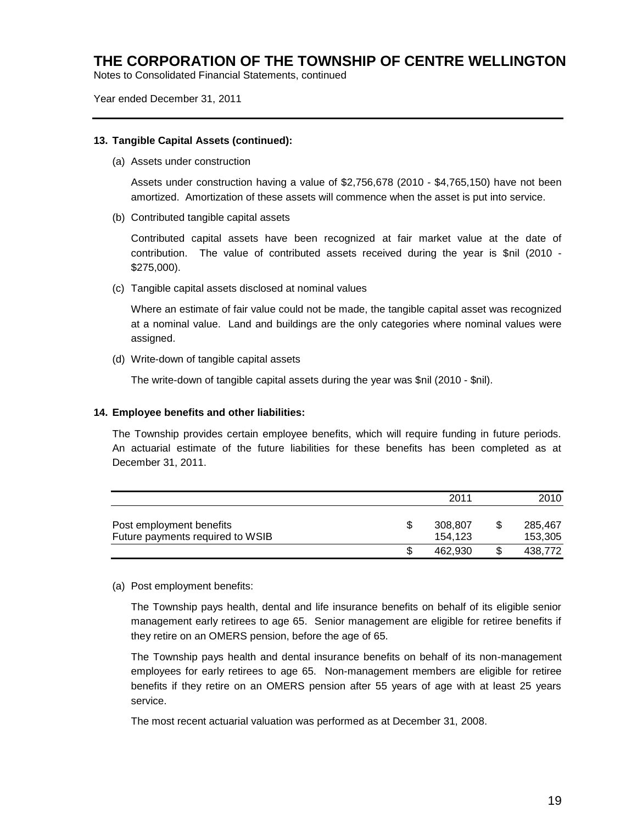Notes to Consolidated Financial Statements, continued

Year ended December 31, 2011

### **13. Tangible Capital Assets (continued):**

(a) Assets under construction

Assets under construction having a value of \$2,756,678 (2010 - \$4,765,150) have not been amortized. Amortization of these assets will commence when the asset is put into service.

(b) Contributed tangible capital assets

Contributed capital assets have been recognized at fair market value at the date of contribution. The value of contributed assets received during the year is \$nil (2010 - \$275,000).

(c) Tangible capital assets disclosed at nominal values

Where an estimate of fair value could not be made, the tangible capital asset was recognized at a nominal value. Land and buildings are the only categories where nominal values were assigned.

(d) Write-down of tangible capital assets

The write-down of tangible capital assets during the year was \$nil (2010 - \$nil).

### **14. Employee benefits and other liabilities:**

The Township provides certain employee benefits, which will require funding in future periods. An actuarial estimate of the future liabilities for these benefits has been completed as at December 31, 2011.

|                                                              | 2011               |   | 2010               |
|--------------------------------------------------------------|--------------------|---|--------------------|
| Post employment benefits<br>Future payments required to WSIB | 308,807<br>154.123 | S | 285,467<br>153,305 |
|                                                              | 462.930            |   | 438.772            |

## (a) Post employment benefits:

The Township pays health, dental and life insurance benefits on behalf of its eligible senior management early retirees to age 65. Senior management are eligible for retiree benefits if they retire on an OMERS pension, before the age of 65.

The Township pays health and dental insurance benefits on behalf of its non-management employees for early retirees to age 65. Non-management members are eligible for retiree benefits if they retire on an OMERS pension after 55 years of age with at least 25 years service.

The most recent actuarial valuation was performed as at December 31, 2008.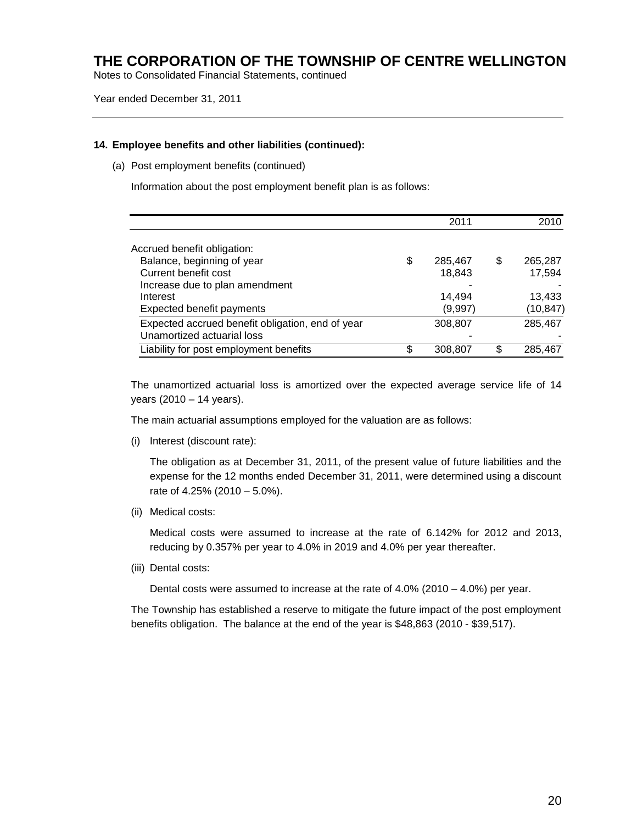Notes to Consolidated Financial Statements, continued

Year ended December 31, 2011

#### **14. Employee benefits and other liabilities (continued):**

(a) Post employment benefits (continued)

Information about the post employment benefit plan is as follows:

|                                                  | 2011          |    | 2010      |
|--------------------------------------------------|---------------|----|-----------|
|                                                  |               |    |           |
| Accrued benefit obligation:                      |               |    |           |
| Balance, beginning of year                       | \$<br>285,467 | S  | 265,287   |
| Current benefit cost                             | 18,843        |    | 17,594    |
| Increase due to plan amendment                   |               |    |           |
| Interest                                         | 14.494        |    | 13,433    |
| <b>Expected benefit payments</b>                 | (9,997)       |    | (10, 847) |
| Expected accrued benefit obligation, end of year | 308,807       |    | 285,467   |
| Unamortized actuarial loss                       |               |    |           |
| Liability for post employment benefits           | \$<br>308,807 | .ፍ | 285,467   |

The unamortized actuarial loss is amortized over the expected average service life of 14 years (2010 – 14 years).

The main actuarial assumptions employed for the valuation are as follows:

(i) Interest (discount rate):

The obligation as at December 31, 2011, of the present value of future liabilities and the expense for the 12 months ended December 31, 2011, were determined using a discount rate of 4.25% (2010 – 5.0%).

(ii) Medical costs:

Medical costs were assumed to increase at the rate of 6.142% for 2012 and 2013, reducing by 0.357% per year to 4.0% in 2019 and 4.0% per year thereafter.

(iii) Dental costs:

Dental costs were assumed to increase at the rate of 4.0% (2010 – 4.0%) per year.

The Township has established a reserve to mitigate the future impact of the post employment benefits obligation. The balance at the end of the year is \$48,863 (2010 - \$39,517).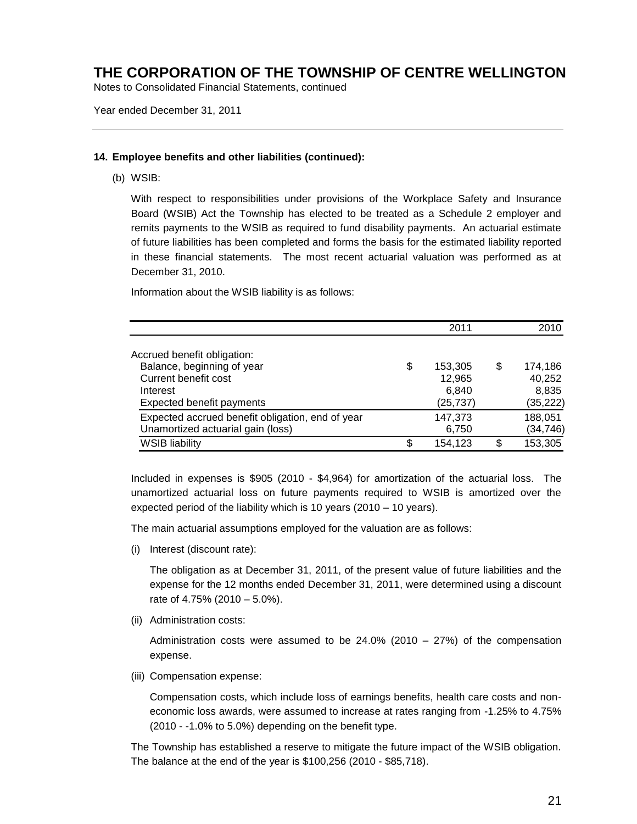Notes to Consolidated Financial Statements, continued

Year ended December 31, 2011

#### **14. Employee benefits and other liabilities (continued):**

(b) WSIB:

With respect to responsibilities under provisions of the Workplace Safety and Insurance Board (WSIB) Act the Township has elected to be treated as a Schedule 2 employer and remits payments to the WSIB as required to fund disability payments. An actuarial estimate of future liabilities has been completed and forms the basis for the estimated liability reported in these financial statements. The most recent actuarial valuation was performed as at December 31, 2010.

Information about the WSIB liability is as follows:

|                                                                                       | 2011                    |     | 2010                 |
|---------------------------------------------------------------------------------------|-------------------------|-----|----------------------|
| Accrued benefit obligation:<br>Balance, beginning of year<br>Current benefit cost     | \$<br>153,305<br>12,965 | \$. | 174,186<br>40,252    |
| Interest<br><b>Expected benefit payments</b>                                          | 6,840<br>(25, 737)      |     | 8,835<br>(35, 222)   |
| Expected accrued benefit obligation, end of year<br>Unamortized actuarial gain (loss) | 147,373<br>6,750        |     | 188,051<br>(34, 746) |
| <b>WSIB liability</b>                                                                 | \$<br>154,123           |     | 153,305              |

Included in expenses is \$905 (2010 - \$4,964) for amortization of the actuarial loss. The unamortized actuarial loss on future payments required to WSIB is amortized over the expected period of the liability which is 10 years (2010 – 10 years).

The main actuarial assumptions employed for the valuation are as follows:

(i) Interest (discount rate):

The obligation as at December 31, 2011, of the present value of future liabilities and the expense for the 12 months ended December 31, 2011, were determined using a discount rate of 4.75% (2010 – 5.0%).

(ii) Administration costs:

Administration costs were assumed to be  $24.0\%$  (2010 – 27%) of the compensation expense.

(iii) Compensation expense:

Compensation costs, which include loss of earnings benefits, health care costs and noneconomic loss awards, were assumed to increase at rates ranging from -1.25% to 4.75% (2010 - -1.0% to 5.0%) depending on the benefit type.

The Township has established a reserve to mitigate the future impact of the WSIB obligation. The balance at the end of the year is \$100,256 (2010 - \$85,718).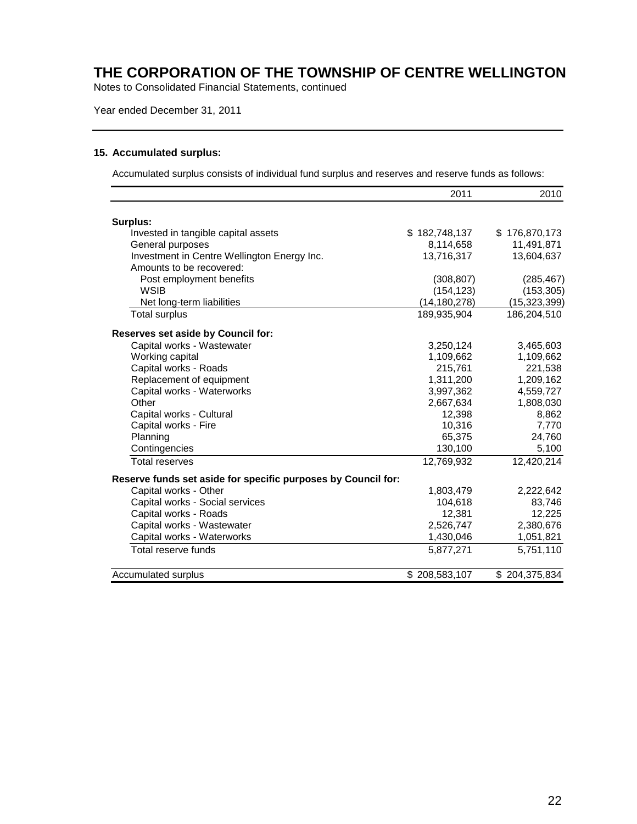Notes to Consolidated Financial Statements, continued

Year ended December 31, 2011

## **15. Accumulated surplus:**

Accumulated surplus consists of individual fund surplus and reserves and reserve funds as follows:

|                                                               | 2011           | 2010           |
|---------------------------------------------------------------|----------------|----------------|
| Surplus:                                                      |                |                |
| Invested in tangible capital assets                           | \$182,748,137  | \$176,870,173  |
| General purposes                                              | 8,114,658      | 11,491,871     |
| Investment in Centre Wellington Energy Inc.                   | 13,716,317     | 13,604,637     |
| Amounts to be recovered:                                      |                |                |
| Post employment benefits                                      | (308, 807)     | (285, 467)     |
| <b>WSIB</b>                                                   | (154, 123)     | (153, 305)     |
| Net long-term liabilities                                     | (14, 180, 278) | (15, 323, 399) |
| <b>Total surplus</b>                                          | 189,935,904    | 186,204,510    |
| Reserves set aside by Council for:                            |                |                |
| Capital works - Wastewater                                    | 3,250,124      | 3,465,603      |
| Working capital                                               | 1,109,662      | 1,109,662      |
| Capital works - Roads                                         | 215.761        | 221,538        |
| Replacement of equipment                                      | 1,311,200      | 1,209,162      |
| Capital works - Waterworks                                    | 3,997,362      | 4,559,727      |
| Other                                                         | 2,667,634      | 1,808,030      |
| Capital works - Cultural                                      | 12,398         | 8,862          |
| Capital works - Fire                                          | 10,316         | 7,770          |
| Planning                                                      | 65.375         | 24,760         |
| Contingencies                                                 | 130,100        | 5,100          |
| <b>Total reserves</b>                                         | 12,769,932     | 12,420,214     |
| Reserve funds set aside for specific purposes by Council for: |                |                |
| Capital works - Other                                         | 1,803,479      | 2,222,642      |
| Capital works - Social services                               | 104,618        | 83,746         |
| Capital works - Roads                                         | 12,381         | 12,225         |
| Capital works - Wastewater                                    | 2,526,747      | 2,380,676      |
| Capital works - Waterworks                                    | 1,430,046      | 1,051,821      |
| Total reserve funds                                           | 5,877,271      | 5,751,110      |
| Accumulated surplus                                           | \$208,583,107  | \$204,375,834  |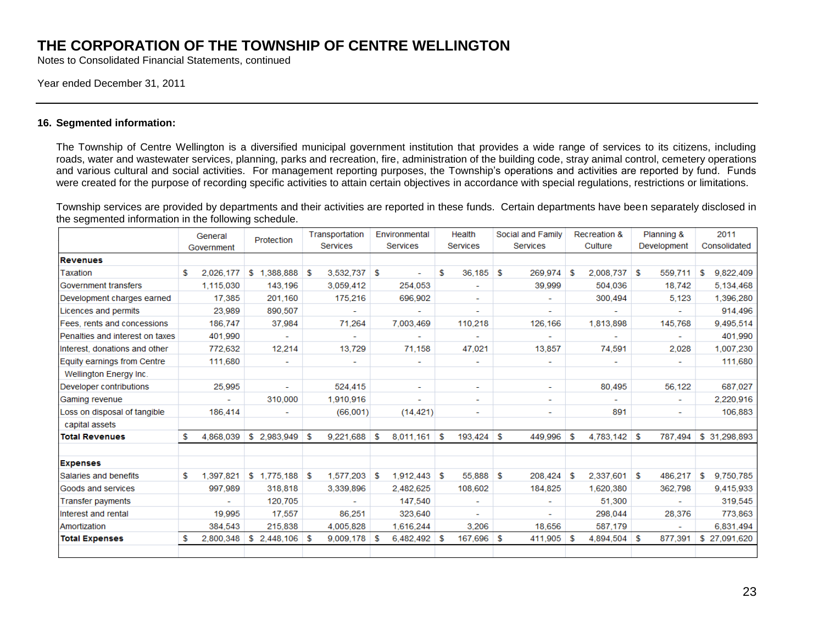Notes to Consolidated Financial Statements, continued

#### Year ended December 31, 2011

#### **16. Segmented information:**

The Township of Centre Wellington is a diversified municipal government institution that provides a wide range of services to its citizens, including roads, water and wastewater services, planning, parks and recreation, fire, administration of the building code, stray animal control, cemetery operations and various cultural and social activities. For management reporting purposes, the Township's operations and activities are reported by fund. Funds were created for the purpose of recording specific activities to attain certain objectives in accordance with special regulations, restrictions or limitations.

Township services are provided by departments and their activities are reported in these funds. Certain departments have been separately disclosed in the segmented information in the following schedule.

|                                 | General    |           | Protection           |          | Transportation |    | Environmental   |    | Health          |                 | Social and Family        |         | Recreation &   |             | Planning &               |    | 2011          |
|---------------------------------|------------|-----------|----------------------|----------|----------------|----|-----------------|----|-----------------|-----------------|--------------------------|---------|----------------|-------------|--------------------------|----|---------------|
|                                 | Government |           |                      | Services |                |    | <b>Services</b> |    | <b>Services</b> | <b>Services</b> |                          | Culture |                | Development |                          |    | Consolidated  |
| <b>Revenues</b>                 |            |           |                      |          |                |    |                 |    |                 |                 |                          |         |                |             |                          |    |               |
| Taxation                        | S          | 2.026.177 | \$1,388,888          | £.       | 3,532,737      | -S | $\sim$          | \$ | 36,185          | S               | 269,974                  | s.      | 2,008,737      | S           | 559,711                  | S  | 9.822.409     |
| Government transfers            |            | 1.115.030 | 143,196              |          | 3,059,412      |    | 254,053         |    |                 |                 | 39,999                   |         | 504,036        |             | 18,742                   |    | 5,134,468     |
| Development charges earned      |            | 17,385    | 201,160              |          | 175,216        |    | 696,902         |    |                 |                 |                          |         | 300,494        |             | 5,123                    |    | 1,396,280     |
| Licences and permits            |            | 23.989    | 890,507              |          |                |    |                 |    |                 |                 |                          |         |                |             |                          |    | 914,496       |
| Fees, rents and concessions     |            | 186,747   | 37,984               |          | 71,264         |    | 7,003,469       |    | 110,218         |                 | 126,166                  |         | 1,813,898      |             | 145,768                  |    | 9,495,514     |
| Penalties and interest on taxes |            | 401,990   |                      |          | ۰              |    |                 |    |                 |                 | ٠                        |         |                |             | ٠                        |    | 401,990       |
| Interest, donations and other   |            | 772,632   | 12,214               |          | 13,729         |    | 71.158          |    | 47,021          |                 | 13,857                   |         | 74,591         |             | 2,028                    |    | 1,007,230     |
| Equity earnings from Centre     |            | 111,680   | ٠                    |          | ٠              |    | ٠               |    |                 |                 | ٠                        |         | ٠              |             | ٠                        |    | 111,680       |
| Wellington Energy Inc.          |            |           |                      |          |                |    |                 |    |                 |                 |                          |         |                |             |                          |    |               |
| Developer contributions         |            | 25,995    |                      |          | 524,415        |    | ۰               |    | ٠               |                 | ۰                        |         | 80,495         |             | 56,122                   |    | 687,027       |
| Gaming revenue                  |            |           | 310,000              |          | 1,910,916      |    |                 |    |                 |                 | $\overline{\phantom{a}}$ |         |                |             | ٠                        |    | 2,220,916     |
| Loss on disposal of tangible    |            | 186,414   |                      |          | (66,001)       |    | (14, 421)       |    | ٠               |                 | ۰                        |         | 891            |             | $\overline{\phantom{a}}$ |    | 106,883       |
| capital assets                  |            |           |                      |          |                |    |                 |    |                 |                 |                          |         |                |             |                          |    |               |
| <b>Total Revenues</b>           | S          | 4,868,039 | $$2.983.949$ \\$     |          | $9,221,688$ \$ |    | 8,011,161       | -S | $193.424$ \$    |                 | 449,996                  | \$      | 4,783,142 \$   |             | 787,494                  |    | \$31,298,893  |
| <b>Expenses</b>                 |            |           |                      |          |                |    |                 |    |                 |                 |                          |         |                |             |                          |    |               |
| Salaries and benefits           | \$         | 1.397.821 | \$1.775.188          | ∣\$.     | 1.577.203      | S  | 1,912,443       | S  | 55.888          | \$              | 208,424                  | s.      | $2,337,601$ \$ |             | 486,217                  | \$ | 9.750.785     |
| Goods and services              |            | 997,989   | 318,818              |          | 3,339,896      |    | 2,482,625       |    | 108,602         |                 | 184,825                  |         | 1,620,380      |             | 362,798                  |    | 9,415,933     |
| <b>Transfer payments</b>        |            |           | 120,705              |          |                |    | 147,540         |    |                 |                 | ٠                        |         | 51,300         |             |                          |    | 319,545       |
| Interest and rental             |            | 19.995    | 17,557               |          | 86,251         |    | 323.640         |    |                 |                 |                          |         | 298,044        |             | 28,376                   |    | 773,863       |
| Amortization                    |            | 384,543   | 215,838              |          | 4,005,828      |    | 1,616,244       |    | 3,206           |                 | 18,656                   |         | 587,179        |             | ÷.                       |    | 6,831,494     |
| <b>Total Expenses</b>           | S          | 2,800,348 | \$<br>$2,448,106$ \$ |          | 9,009,178 \$   |    | 6,482,492       | S  | 167,696         | -S              | 411,905                  | ١s      | 4,894,504 \$   |             | 877,391                  |    | \$ 27,091,620 |
|                                 |            |           |                      |          |                |    |                 |    |                 |                 |                          |         |                |             |                          |    |               |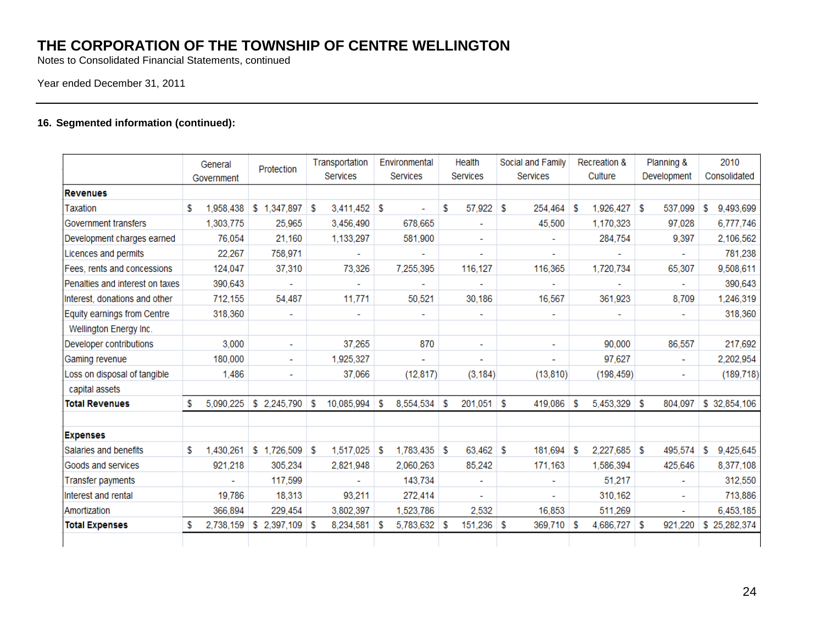Notes to Consolidated Financial Statements, continued

## **16. Segmented information (continued):**

|                                 | General<br>Government |           |                          |   |                |   |                      |    | Protection               | Transportation<br>Services |                          | Environmental<br>Services |              | Health<br>Services |         | Social and Family<br>Services |              | Recreation &<br>Culture |  | Planning &<br>Development |  | 2010<br>Consolidated |  |
|---------------------------------|-----------------------|-----------|--------------------------|---|----------------|---|----------------------|----|--------------------------|----------------------------|--------------------------|---------------------------|--------------|--------------------|---------|-------------------------------|--------------|-------------------------|--|---------------------------|--|----------------------|--|
| <b>Revenues</b>                 |                       |           |                          |   |                |   |                      |    |                          |                            |                          |                           |              |                    |         |                               |              |                         |  |                           |  |                      |  |
| Taxation                        | \$                    | 1.958.438 | \$1,347,897              | S | $3,411,452$ \$ |   | $\ddot{\phantom{a}}$ | \$ | 57,922                   | -S                         | 254,464                  | S                         | 1,926,427    | s.                 | 537.099 | S                             | 9,493,699    |                         |  |                           |  |                      |  |
| Government transfers            |                       | 1,303,775 | 25,965                   |   | 3,456,490      |   | 678,665              |    |                          |                            | 45,500                   |                           | 1,170,323    |                    | 97,028  |                               | 6,777,746    |                         |  |                           |  |                      |  |
| Development charges earned      |                       | 76,054    | 21,160                   |   | 1,133,297      |   | 581,900              |    | ٠                        |                            |                          |                           | 284,754      |                    | 9,397   |                               | 2,106,562    |                         |  |                           |  |                      |  |
| Licences and permits            |                       | 22,267    | 758,971                  |   |                |   |                      |    |                          |                            |                          |                           |              |                    |         |                               | 781,238      |                         |  |                           |  |                      |  |
| Fees, rents and concessions     |                       | 124,047   | 37,310                   |   | 73,326         |   | 7,255,395            |    | 116,127                  |                            | 116,365                  |                           | 1,720,734    |                    | 65,307  |                               | 9,508,611    |                         |  |                           |  |                      |  |
| Penalties and interest on taxes |                       | 390,643   | ч                        |   | ٠              |   |                      |    | $\blacksquare$           |                            | $\overline{a}$           |                           |              |                    | ٠       |                               | 390,643      |                         |  |                           |  |                      |  |
| Interest, donations and other   |                       | 712,155   | 54,487                   |   | 11,771         |   | 50,521               |    | 30,186                   |                            | 16,567                   |                           | 361,923      |                    | 8,709   |                               | 1,246,319    |                         |  |                           |  |                      |  |
| Equity earnings from Centre     |                       | 318,360   | ۰                        |   |                |   | ۰                    |    | $\overline{\phantom{a}}$ |                            | $\blacksquare$           |                           |              |                    | ٠       |                               | 318,360      |                         |  |                           |  |                      |  |
| Wellington Energy Inc.          |                       |           |                          |   |                |   |                      |    |                          |                            |                          |                           |              |                    |         |                               |              |                         |  |                           |  |                      |  |
| Developer contributions         |                       | 3,000     | $\overline{\phantom{a}}$ |   | 37,265         |   | 870                  |    | ٠                        |                            | $\overline{\phantom{a}}$ |                           | 90,000       |                    | 86,557  |                               | 217,692      |                         |  |                           |  |                      |  |
| Gaming revenue                  |                       | 180,000   | ۰                        |   | 1,925,327      |   |                      |    |                          |                            |                          |                           | 97,627       |                    | ۰       |                               | 2,202,954    |                         |  |                           |  |                      |  |
| Loss on disposal of tangible    |                       | 1,486     |                          |   | 37,066         |   | (12, 817)            |    | (3, 184)                 |                            | (13, 810)                |                           | (198, 459)   |                    |         |                               | (189, 718)   |                         |  |                           |  |                      |  |
| capital assets                  |                       |           |                          |   |                |   |                      |    |                          |                            |                          |                           |              |                    |         |                               |              |                         |  |                           |  |                      |  |
| <b>Total Revenues</b>           | \$                    | 5,090,225 | \$2,245,790              | S | 10,085,994     | S | 8,554,534            | S  | 201,051                  | s.                         | 419,086                  | S                         | 5,453,329 \$ |                    | 804.097 |                               | \$32,854,106 |                         |  |                           |  |                      |  |
| <b>Expenses</b>                 |                       |           |                          |   |                |   |                      |    |                          |                            |                          |                           |              |                    |         |                               |              |                         |  |                           |  |                      |  |
| Salaries and benefits           | S                     | 1,430,261 | \$1,726,509              | S | 1,517,025      | S | 1,783,435            | S  | 63,462                   | -S                         | 181,694                  | \$.                       | 2,227,685    | -S                 | 495,574 | S                             | 9,425,645    |                         |  |                           |  |                      |  |
| Goods and services              |                       | 921,218   | 305,234                  |   | 2,821,948      |   | 2,060,263            |    | 85,242                   |                            | 171,163                  |                           | 1,586,394    |                    | 425,646 |                               | 8,377,108    |                         |  |                           |  |                      |  |
| <b>Transfer payments</b>        |                       |           | 117,599                  |   |                |   | 143,734              |    |                          |                            |                          |                           | 51,217       |                    | ۰       |                               | 312,550      |                         |  |                           |  |                      |  |
| Interest and rental             |                       | 19,786    | 18,313                   |   | 93,211         |   | 272,414              |    |                          |                            |                          |                           | 310,162      |                    | ۰       |                               | 713,886      |                         |  |                           |  |                      |  |
| Amortization                    |                       | 366,894   | 229,454                  |   | 3,802,397      |   | 1,523,786            |    | 2,532                    |                            | 16,853                   |                           | 511,269      |                    |         |                               | 6,453,185    |                         |  |                           |  |                      |  |
| <b>Total Expenses</b>           | S                     | 2,738,159 | $$2,397,109$ \\$         |   | 8,234,581      | S | 5,783,632            | -S | 151,236                  | s.                         | 369,710                  | S                         | 4,686,727    | \$                 | 921,220 |                               | \$25,282,374 |                         |  |                           |  |                      |  |
|                                 |                       |           |                          |   |                |   |                      |    |                          |                            |                          |                           |              |                    |         |                               |              |                         |  |                           |  |                      |  |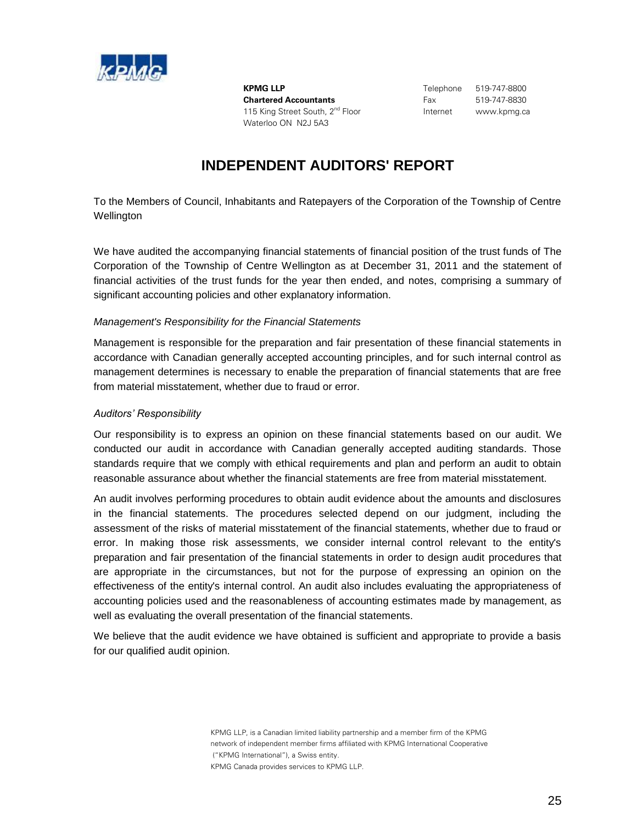

**KPMG LLP** Telephone 519-747-8800 **Chartered Accountants** Fax 519-747-8830 115 King Street South, 2<sup>nd</sup> Floor **Internet** www.kpmg.ca Waterloo ON N2J 5A3

# **INDEPENDENT AUDITORS' REPORT**

To the Members of Council, Inhabitants and Ratepayers of the Corporation of the Township of Centre **Wellington** 

We have audited the accompanying financial statements of financial position of the trust funds of The Corporation of the Township of Centre Wellington as at December 31, 2011 and the statement of financial activities of the trust funds for the year then ended, and notes, comprising a summary of significant accounting policies and other explanatory information.

## *Management's Responsibility for the Financial Statements*

Management is responsible for the preparation and fair presentation of these financial statements in accordance with Canadian generally accepted accounting principles, and for such internal control as management determines is necessary to enable the preparation of financial statements that are free from material misstatement, whether due to fraud or error.

### *Auditors' Responsibility*

Our responsibility is to express an opinion on these financial statements based on our audit. We conducted our audit in accordance with Canadian generally accepted auditing standards. Those standards require that we comply with ethical requirements and plan and perform an audit to obtain reasonable assurance about whether the financial statements are free from material misstatement.

An audit involves performing procedures to obtain audit evidence about the amounts and disclosures in the financial statements. The procedures selected depend on our judgment, including the assessment of the risks of material misstatement of the financial statements, whether due to fraud or error. In making those risk assessments, we consider internal control relevant to the entity's preparation and fair presentation of the financial statements in order to design audit procedures that are appropriate in the circumstances, but not for the purpose of expressing an opinion on the effectiveness of the entity's internal control. An audit also includes evaluating the appropriateness of accounting policies used and the reasonableness of accounting estimates made by management, as well as evaluating the overall presentation of the financial statements.

We believe that the audit evidence we have obtained is sufficient and appropriate to provide a basis for our qualified audit opinion.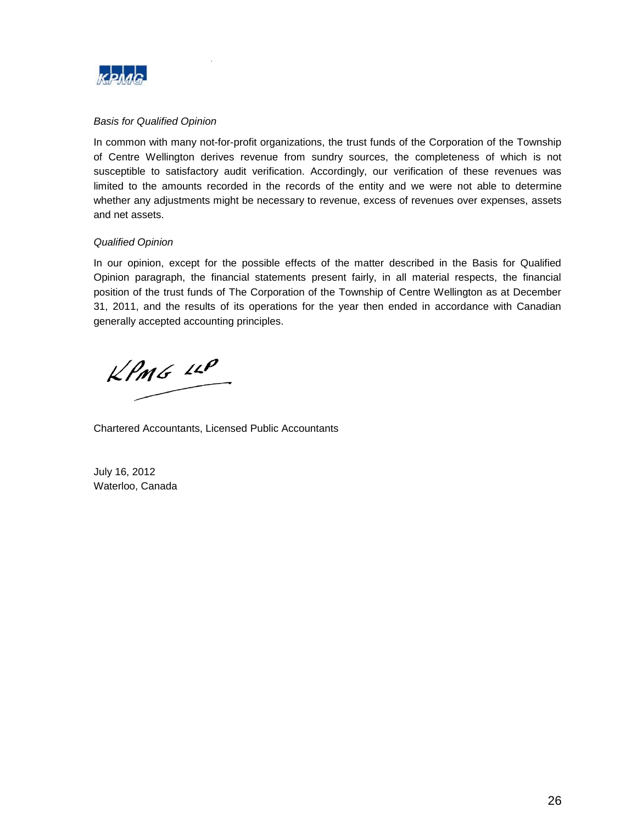

## *Basis for Qualified Opinion*

.

In common with many not-for-profit organizations, the trust funds of the Corporation of the Township of Centre Wellington derives revenue from sundry sources, the completeness of which is not susceptible to satisfactory audit verification. Accordingly, our verification of these revenues was limited to the amounts recorded in the records of the entity and we were not able to determine whether any adjustments might be necessary to revenue, excess of revenues over expenses, assets and net assets.

## *Qualified Opinion*

In our opinion, except for the possible effects of the matter described in the Basis for Qualified Opinion paragraph, the financial statements present fairly, in all material respects, the financial position of the trust funds of The Corporation of the Township of Centre Wellington as at December 31, 2011, and the results of its operations for the year then ended in accordance with Canadian generally accepted accounting principles.

 $KPMG$  14P

Chartered Accountants, Licensed Public Accountants

July 16, 2012 Waterloo, Canada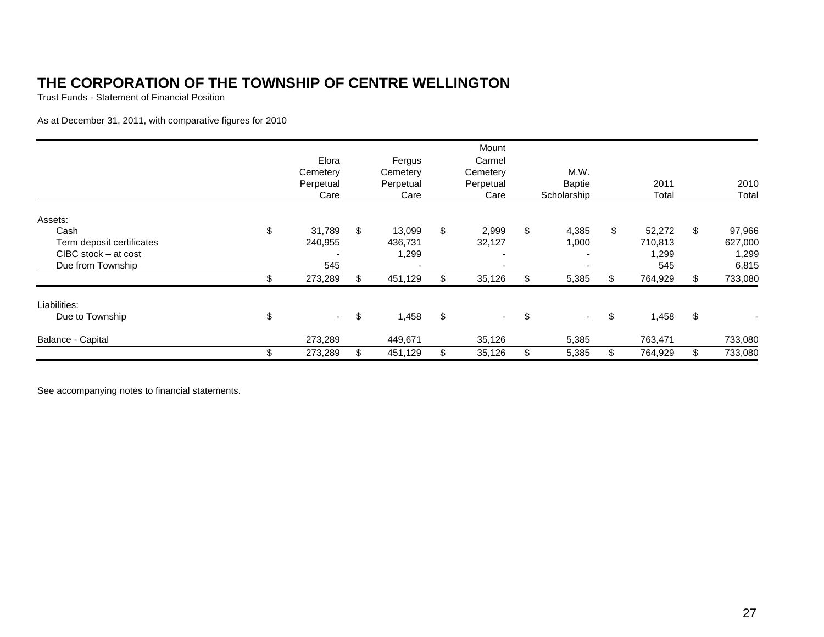Trust Funds - Statement of Financial Position

As at December 31, 2011, with comparative figures for 2010

|                           |     | Elora<br>Cemetery<br>Perpetual<br>Care | Fergus<br>Cemetery<br>Perpetual<br>Care | Mount<br>Carmel<br>Cemetery<br>Perpetual<br>Care |        | M.W.<br><b>Baptie</b><br>Scholarship | 2011<br>Total | 2010<br>Total |
|---------------------------|-----|----------------------------------------|-----------------------------------------|--------------------------------------------------|--------|--------------------------------------|---------------|---------------|
| Assets:                   |     |                                        |                                         |                                                  |        |                                      |               |               |
| Cash                      | \$  | 31,789                                 | \$<br>13,099                            | \$<br>2,999                                      | \$     | 4,385                                | \$<br>52,272  | \$<br>97,966  |
| Term deposit certificates |     | 240,955                                | 436,731                                 | 32,127                                           |        | 1,000                                | 710,813       | 627,000       |
| CIBC stock - at cost      |     |                                        | 1,299                                   | $\overline{\phantom{a}}$                         |        |                                      | 1,299         | 1,299         |
| Due from Township         |     | 545                                    |                                         | $\overline{\phantom{a}}$                         |        |                                      | 545           | 6,815         |
|                           | \$. | 273,289                                | \$<br>451,129                           | \$<br>35,126                                     | \$     | 5,385                                | \$<br>764,929 | \$<br>733,080 |
| Liabilities:              |     |                                        |                                         |                                                  |        |                                      |               |               |
| Due to Township           | \$  | $\sim 10$                              | \$<br>1,458                             | \$                                               | $-$ \$ | $\sim$                               | \$<br>1,458   | \$            |
| Balance - Capital         |     | 273,289                                | 449,671                                 | 35,126                                           |        | 5,385                                | 763,471       | 733,080       |
|                           |     | 273,289                                | \$<br>451,129                           | \$<br>35,126                                     |        | 5,385                                | \$<br>764,929 | \$<br>733,080 |

See accompanying notes to financial statements.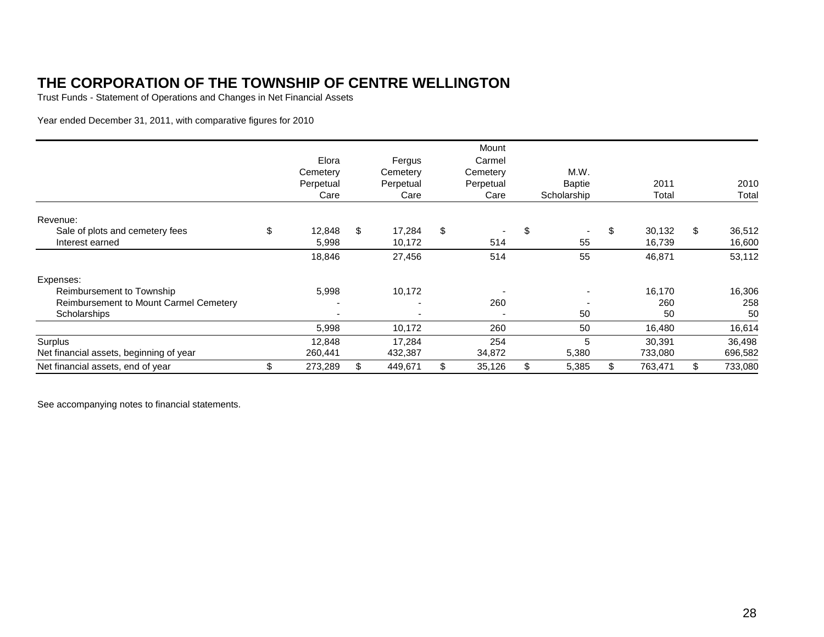Trust Funds - Statement of Operations and Changes in Net Financial Assets

Year ended December 31, 2011, with comparative figures for 2010

|                                               | Elora<br>Cemetery<br>Perpetual<br>Care | Fergus<br>Cemetery<br>Perpetual<br>Care | Mount<br>Carmel<br>Cemetery<br>Perpetual<br>Care | M.W.<br><b>Baptie</b><br>Scholarship | 2011<br>Total | 2010<br>Total |
|-----------------------------------------------|----------------------------------------|-----------------------------------------|--------------------------------------------------|--------------------------------------|---------------|---------------|
| Revenue:                                      |                                        |                                         |                                                  |                                      |               |               |
| Sale of plots and cemetery fees               | \$<br>12,848                           | \$<br>17,284                            | \$                                               | \$                                   | \$<br>30,132  | \$<br>36,512  |
| Interest earned                               | 5,998                                  | 10,172                                  | 514                                              | 55                                   | 16,739        | 16,600        |
|                                               | 18,846                                 | 27,456                                  | 514                                              | 55                                   | 46,871        | 53,112        |
| Expenses:                                     |                                        |                                         |                                                  |                                      |               |               |
| Reimbursement to Township                     | 5,998                                  | 10,172                                  |                                                  |                                      | 16,170        | 16,306        |
| <b>Reimbursement to Mount Carmel Cemetery</b> |                                        |                                         | 260                                              |                                      | 260           | 258           |
| Scholarships                                  |                                        |                                         |                                                  | 50                                   | 50            | 50            |
|                                               | 5,998                                  | 10,172                                  | 260                                              | 50                                   | 16,480        | 16,614        |
| Surplus                                       | 12,848                                 | 17,284                                  | 254                                              | 5                                    | 30,391        | 36,498        |
| Net financial assets, beginning of year       | 260,441                                | 432,387                                 | 34,872                                           | 5,380                                | 733,080       | 696,582       |
| Net financial assets, end of year             | \$<br>273,289                          | \$<br>449,671                           | \$<br>35,126                                     | \$<br>5,385                          | \$<br>763,471 | \$<br>733,080 |

See accompanying notes to financial statements.